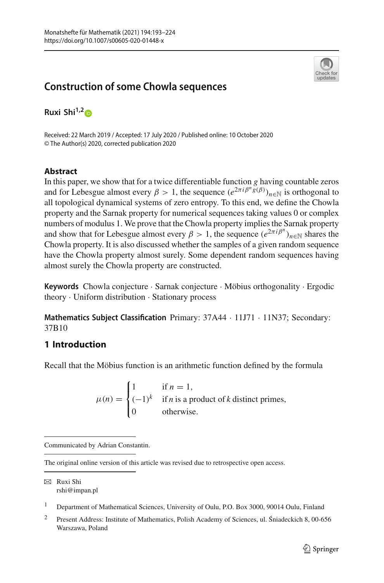

# **Construction of some Chowla sequences**

**Ruxi Shi1,[2](http://orcid.org/0000-0001-7696-4787)**

Received: 22 March 2019 / Accepted: 17 July 2020 / Published online: 10 October 2020 © The Author(s) 2020, corrected publication 2020

# **Abstract**

In this paper, we show that for a twice differentiable function *g* having countable zeros and for Lebesgue almost every  $\beta > 1$ , the sequence  $(e^{2\pi i \beta^n \tilde{g}(\beta)})_{n \in \mathbb{N}}$  is orthogonal to all topological dynamical systems of zero entropy. To this end, we define the Chowla property and the Sarnak property for numerical sequences taking values 0 or complex numbers of modulus 1. We prove that the Chowla property implies the Sarnak property and show that for Lebesgue almost every  $\beta > 1$ , the sequence  $(e^{2\pi i \beta^n})_{n \in \mathbb{N}}$  shares the Chowla property. It is also discussed whether the samples of a given random sequence have the Chowla property almost surely. Some dependent random sequences having almost surely the Chowla property are constructed.

**Keywords** Chowla conjecture · Sarnak conjecture · Möbius orthogonality · Ergodic theory · Uniform distribution · Stationary process

**Mathematics Subject Classification** Primary: 37A44 · 11J71 · 11N37; Secondary: 37B10

# **1 Introduction**

Recall that the Möbius function is an arithmetic function defined by the formula

 $\mu(n) =$  $\sqrt{2}$  $\int$  $\overline{I}$ 1 if  $n = 1$ ,  $(-1)^k$  if *n* is a product of *k* distinct primes, 0 otherwise.

<sup>1</sup> Department of Mathematical Sciences, University of Oulu, P.O. Box 3000, 90014 Oulu, Finland

Communicated by Adrian Constantin.

The original online version of this article was revised due to retrospective open access.

B Ruxi Shi rshi@impan.pl

<sup>&</sup>lt;sup>2</sup> Present Address: Institute of Mathematics, Polish Academy of Sciences, ul. Śniadeckich 8, 00-656 Warszawa, Poland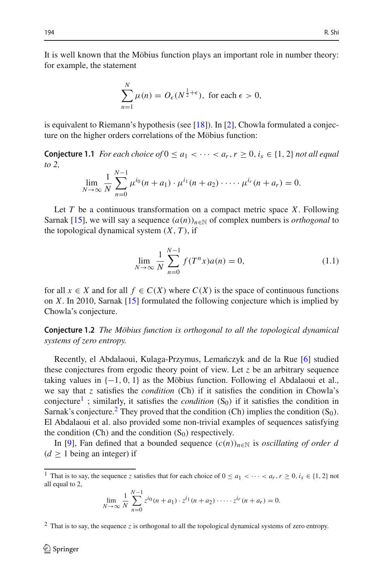It is well known that the Möbius function plays an important role in number theory: for example, the statement

$$
\sum_{n=1}^{N} \mu(n) = O_{\epsilon}(N^{\frac{1}{2}+\epsilon}), \text{ for each } \epsilon > 0,
$$

is equivalent to Riemann's hypothesis (see [\[18](#page-31-0)]). In [\[2\]](#page-30-0), Chowla formulated a conjecture on the higher orders correlations of the Möbius function:

**Conjecture 1.1** *For each choice of*  $0 \le a_1 < \cdots < a_r$ ,  $r \ge 0$ ,  $i_s \in \{1, 2\}$  *not all equal to 2,*

$$
\lim_{N \to \infty} \frac{1}{N} \sum_{n=0}^{N-1} \mu^{i_0}(n+a_1) \cdot \mu^{i_1}(n+a_2) \cdot \dots \cdot \mu^{i_r}(n+a_r) = 0.
$$

Let *T* be a continuous transformation on a compact metric space *X*. Following Sarnak [\[15](#page-31-1)], we will say a sequence  $(a(n))_{n\in\mathbb{N}}$  of complex numbers is *orthogonal* to the topological dynamical system  $(X, T)$ , if

$$
\lim_{N \to \infty} \frac{1}{N} \sum_{n=0}^{N-1} f(T^n x) a(n) = 0,
$$
\n(1.1)

for all  $x \in X$  and for all  $f \in C(X)$  where  $C(X)$  is the space of continuous functions on *X*. In 2010, Sarnak [\[15](#page-31-1)] formulated the following conjecture which is implied by Chowla's conjecture.

**Conjecture 1.2** *The Möbius function is orthogonal to all the topological dynamical systems of zero entropy.*

Recently, el Abdalaoui, Kulaga-Przymus, Lemanczyk and de la Rue [\[6\]](#page-30-1) studied these conjectures from ergodic theory point of view. Let *z* be an arbitrary sequence taking values in  $\{-1, 0, 1\}$  as the Möbius function. Following el Abdalaoui et al., we say that *z* satisfies the *condition* (Ch) if it satisfies the condition in Chowla's conjecture<sup>1</sup>; similarly, it satisfies the *condition*  $(S_0)$  if it satisfies the condition in Sarnak's conjecture.<sup>[2](#page-1-1)</sup> They proved that the condition (Ch) implies the condition  $(S_0)$ . El Abdalaoui et al. also provided some non-trivial examples of sequences satisfying the condition (Ch) and the condition  $(S_0)$  respectively.

In [\[9](#page-31-2)], Fan defined that a bounded sequence  $(c(n))_{n\in\mathbb{N}}$  is *oscillating of order d*  $(d > 1)$  being an integer) if

$$
\lim_{N \to \infty} \frac{1}{N} \sum_{n=0}^{N-1} z^{i_0} (n + a_1) \cdot z^{i_1} (n + a_2) \cdot \dots \cdot z^{i_r} (n + a_r) = 0.
$$

<span id="page-1-1"></span><sup>2</sup> That is to say, the sequence *z* is orthogonal to all the topological dynamical systems of zero entropy.

<span id="page-1-0"></span><sup>&</sup>lt;sup>1</sup> That is to say, the sequence *z* satisfies that for each choice of  $0 \le a_1 < \cdots < a_r$ ,  $r \ge 0$ ,  $i_s \in \{1, 2\}$  not all equal to 2,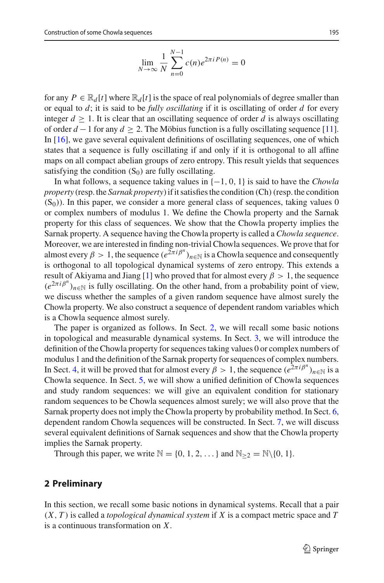$$
\lim_{N \to \infty} \frac{1}{N} \sum_{n=0}^{N-1} c(n) e^{2\pi i P(n)} = 0
$$

for any  $P \in \mathbb{R}_d[t]$  where  $\mathbb{R}_d[t]$  is the space of real polynomials of degree smaller than or equal to *d*; it is said to be *fully oscillating* if it is oscillating of order *d* for every integer  $d \geq 1$ . It is clear that an oscillating sequence of order *d* is always oscillating of order  $d-1$  for any  $d \geq 2$ . The Möbius function is a fully oscillating sequence [\[11](#page-31-3)]. In [\[16\]](#page-31-4), we gave several equivalent definitions of oscillating sequences, one of which states that a sequence is fully oscillating if and only if it is orthogonal to all affine maps on all compact abelian groups of zero entropy. This result yields that sequences satisfying the condition  $(S_0)$  are fully oscillating.

In what follows, a sequence taking values in {−1, 0, 1} is said to have the *Chowla property* (resp. the *Sarnak property*) if it satisfies the condition (Ch)(resp. the condition  $(S<sub>0</sub>)$ ). In this paper, we consider a more general class of sequences, taking values 0 or complex numbers of modulus 1. We define the Chowla property and the Sarnak property for this class of sequences. We show that the Chowla property implies the Sarnak property. A sequence having the Chowla property is called a *Chowla sequence*. Moreover, we are interested in finding non-trivial Chowla sequences. We prove that for almost every  $\beta > 1$ , the sequence  $(e^{2\pi i \beta^n})_{n \in \mathbb{N}}$  is a Chowla sequence and consequently is orthogonal to all topological dynamical systems of zero entropy. This extends a result of Akiyama and Jiang [\[1](#page-30-2)] who proved that for almost every  $\beta > 1$ , the sequence  $(e^{2\pi i \beta^n})_{n \in \mathbb{N}}$  is fully oscillating. On the other hand, from a probability point of view, we discuss whether the samples of a given random sequence have almost surely the Chowla property. We also construct a sequence of dependent random variables which is a Chowla sequence almost surely.

The paper is organized as follows. In Sect. [2,](#page-2-0) we will recall some basic notions in topological and measurable dynamical systems. In Sect. [3,](#page-4-0) we will introduce the definition of the Chowla property for sequences taking values 0 or complex numbers of modulus 1 and the definition of the Sarnak property for sequences of complex numbers. In Sect. [4,](#page-7-0) it will be proved that for almost every  $\beta > 1$ , the sequence  $(e^{2\pi i \beta^n})_{n \in \mathbb{N}}$  is a Chowla sequence. In Sect. [5,](#page-12-0) we will show a unified definition of Chowla sequences and study random sequences: we will give an equivalent condition for stationary random sequences to be Chowla sequences almost surely; we will also prove that the Sarnak property does not imply the Chowla property by probability method. In Sect. [6,](#page-18-0) dependent random Chowla sequences will be constructed. In Sect. [7,](#page-22-0) we will discuss several equivalent definitions of Sarnak sequences and show that the Chowla property implies the Sarnak property.

Through this paper, we write  $\mathbb{N} = \{0, 1, 2, \dots\}$  and  $\mathbb{N}_{\geq 2} = \mathbb{N} \setminus \{0, 1\}.$ 

# <span id="page-2-0"></span>**2 Preliminary**

In this section, we recall some basic notions in dynamical systems. Recall that a pair (*X*, *T* ) is called a *topological dynamical system* if *X* is a compact metric space and *T* is a continuous transformation on *X*.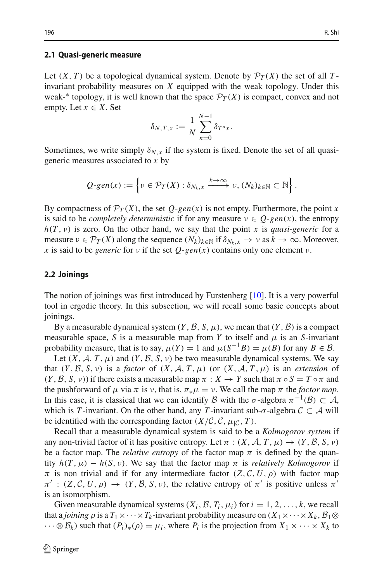#### **2.1 Quasi-generic measure**

Let  $(X, T)$  be a topological dynamical system. Denote by  $\mathcal{P}_T(X)$  the set of all *T*invariant probability measures on *X* equipped with the weak topology. Under this weak-<sup>∗</sup> topology, it is well known that the space  $\mathcal{P}_T(X)$  is compact, convex and not empty. Let  $x \in X$ . Set

$$
\delta_{N,T,x} := \frac{1}{N} \sum_{n=0}^{N-1} \delta_{T^n x}.
$$

Sometimes, we write simply  $\delta_{N,x}$  if the system is fixed. Denote the set of all quasigeneric measures associated to *x* by

$$
Q\text{-}\mathit{gen}(x) := \left\{ v \in \mathcal{P}_T(X) : \delta_{N_k,x} \xrightarrow{k \to \infty} v, (N_k)_{k \in \mathbb{N}} \subset \mathbb{N} \right\}.
$$

By compactness of  $\mathcal{P}_T(X)$ , the set  $Q$ -*gen*(*x*) is not empty. Furthermore, the point *x* is said to be *completely deterministic* if for any measure  $v \in Q$ -*gen(x)*, the entropy  $h(T, v)$  is zero. On the other hand, we say that the point *x* is *quasi-generic* for a measure  $\nu \in \mathcal{P}_T(X)$  along the sequence  $(N_k)_{k \in \mathbb{N}}$  if  $\delta_{N_k, x} \to \nu$  as  $k \to \infty$ . Moreover, *x* is said to be *generic* for *v* if the set  $Q$ -*gen*(*x*) contains only one element *v*.

#### **2.2 Joinings**

The notion of joinings was first introduced by Furstenberg [\[10](#page-31-5)]. It is a very powerful tool in ergodic theory. In this subsection, we will recall some basic concepts about joinings.

By a measurable dynamical system  $(Y, \mathcal{B}, S, \mu)$ , we mean that  $(Y, \mathcal{B})$  is a compact measurable space, *S* is a measurable map from *Y* to itself and  $\mu$  is an *S*-invariant probability measure, that is to say,  $\mu(Y) = 1$  and  $\mu(S^{-1}B) = \mu(B)$  for any  $B \in \mathcal{B}$ .

Let  $(X, \mathcal{A}, T, \mu)$  and  $(Y, \mathcal{B}, S, \nu)$  be two measurable dynamical systems. We say that  $(Y, \mathcal{B}, S, \nu)$  is a *factor* of  $(X, \mathcal{A}, T, \mu)$  (or  $(X, \mathcal{A}, T, \mu)$  is an *extension* of  $(Y, \mathcal{B}, S, \nu)$  if there exists a measurable map  $\pi : X \to Y$  such that  $\pi \circ S = T \circ \pi$  and the pushforward of  $\mu$  via  $\pi$  is  $\nu$ , that is,  $\pi_*\mu = \nu$ . We call the map  $\pi$  the *factor map*. In this case, it is classical that we can identify *B* with the  $\sigma$ -algebra  $\pi^{-1}(B) \subset A$ , which is *T*-invariant. On the other hand, any *T*-invariant sub- $\sigma$ -algebra  $C \subset A$  will be identified with the corresponding factor  $(X/\mathcal{C}, \mathcal{C}, \mu_{\mathcal{C}}, T)$ .

Recall that a measurable dynamical system is said to be a *Kolmogorov system* if any non-trivial factor of it has positive entropy. Let  $\pi$  :  $(X, \mathcal{A}, T, \mu) \rightarrow (Y, \mathcal{B}, S, \nu)$ be a factor map. The *relative entropy* of the factor map  $\pi$  is defined by the quantity  $h(T, \mu) - h(S, \nu)$ . We say that the factor map  $\pi$  is *relatively Kolmogorov* if  $\pi$  is non trivial and if for any intermediate factor  $(Z, \mathcal{C}, U, \rho)$  with factor map  $\pi'$  :  $(Z, \mathcal{C}, U, \rho) \to (Y, \mathcal{B}, S, \nu)$ , the relative entropy of  $\pi'$  is positive unless  $\pi'$ is an isomorphism.

Given measurable dynamical systems  $(X_i, \mathcal{B}, T_i, \mu_i)$  for  $i = 1, 2, \ldots, k$ , we recall that a *joining*  $\rho$  is a  $T_1 \times \cdots \times T_k$ -invariant probability measure on  $(X_1 \times \cdots \times X_k, \mathcal{B}_1 \otimes \mathcal{B}_1)$  $\cdots \otimes \mathcal{B}_k$  such that  $(P_i)_*(\rho) = \mu_i$ , where  $P_i$  is the projection from  $X_1 \times \cdots \times X_k$  to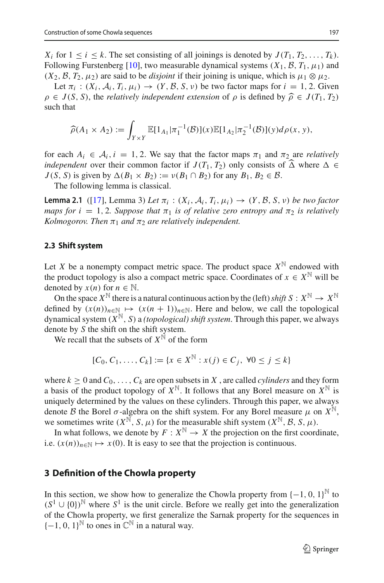$X_i$  for  $1 \le i \le k$ . The set consisting of all joinings is denoted by  $J(T_1, T_2, \ldots, T_k)$ . Following Furstenberg [\[10](#page-31-5)], two measurable dynamical systems  $(X_1, \mathcal{B}, T_1, \mu_1)$  and  $(X_2, \mathcal{B}, T_2, \mu_2)$  are said to be *disjoint* if their joining is unique, which is  $\mu_1 \otimes \mu_2$ .

Let  $\pi_i$ :  $(X_i, \mathcal{A}_i, T_i, \mu_i) \rightarrow (Y, \mathcal{B}, S, \nu)$  be two factor maps for  $i = 1, 2$ . Given  $\rho \in J(S, S)$ , the *relatively independent extension* of  $\rho$  is defined by  $\hat{\rho} \in J(T_1, T_2)$ such that

$$
\widehat{\rho}(A_1 \times A_2) := \int_{Y \times Y} \mathbb{E}[1_{A_1} | \pi_1^{-1}(\mathcal{B})](x) \mathbb{E}[1_{A_2} | \pi_2^{-1}(\mathcal{B})](y) d\rho(x, y),
$$

for each  $A_i \in \mathcal{A}_i$ ,  $i = 1, 2$ . We say that the factor maps  $\pi_1$  and  $\pi_2$  are *relatively independent* over their common factor if  $J(T_1, T_2)$  only consists of  $\widehat{\Delta}$  where  $\Delta \in$  $J(S, S)$  is given by  $\Delta(B_1 \times B_2) := \nu(B_1 \cap B_2)$  for any  $B_1, B_2 \in \mathcal{B}$ .

<span id="page-4-1"></span>The following lemma is classical.

**Lemma 2.1** ([\[17](#page-31-6)], Lemma 3) Let  $\pi_i$  :  $(X_i, \mathcal{A}_i, T_i, \mu_i) \rightarrow (Y, \mathcal{B}, S, \nu)$  be two factor *maps for i* = 1, 2. Suppose that  $\pi_1$  *is of relative zero entropy and*  $\pi_2$  *is relatively Kolmogorov. Then*  $\pi_1$  *and*  $\pi_2$  *are relatively independent.* 

# **2.3 Shift system**

Let *X* be a nonempty compact metric space. The product space  $X^{\mathbb{N}}$  endowed with the product topology is also a compact metric space. Coordinates of  $x \in X^{\mathbb{N}}$  will be denoted by  $x(n)$  for  $n \in \mathbb{N}$ .

On the space  $X^{\mathbb{N}}$  there is a natural continuous action by the (left) *shift*  $S: X^{\mathbb{N}} \to X^{\mathbb{N}}$ defined by  $(x(n))_{n \in \mathbb{N}} \mapsto (x(n+1))_{n \in \mathbb{N}}$ . Here and below, we call the topological dynamical system  $(X^{\mathbb{N}}, S)$  a *(topological) shift system*. Through this paper, we always denote by *S* the shift on the shift system.

We recall that the subsets of  $X^{\mathbb{N}}$  of the form

$$
[C_0, C_1, \dots, C_k] := \{ x \in X^{\mathbb{N}} : x(j) \in C_j, \ \forall 0 \le j \le k \}
$$

where  $k > 0$  and  $C_0, \ldots, C_k$  are open subsets in X, are called *cylinders* and they form a basis of the product topology of  $X^{\mathbb{N}}$ . It follows that any Borel measure on  $X^{\mathbb{N}}$  is uniquely determined by the values on these cylinders. Through this paper, we always denote *B* the Borel  $\sigma$ -algebra on the shift system. For any Borel measure  $\mu$  on  $X^{\mathbb{N}}$ , we sometimes write  $(X^{\mathbb{N}}, S, \mu)$  for the measurable shift system  $(X^{\mathbb{N}}, \mathcal{B}, S, \mu)$ .

In what follows, we denote by  $F: X^{\mathbb{N}} \to X$  the projection on the first coordinate, i.e.  $(x(n))_{n \in \mathbb{N}} \mapsto x(0)$ . It is easy to see that the projection is continuous.

# <span id="page-4-0"></span>**3 Definition of the Chowla property**

In this section, we show how to generalize the Chowla property from  $\{-1, 0, 1\}^{\mathbb{N}}$  to  $(S^1 \cup \{0\})^{\mathbb{N}}$  where  $S^1$  is the unit circle. Before we really get into the generalization of the Chowla property, we first generalize the Sarnak property for the sequences in  ${-1, 0, 1}^{\mathbb{N}}$  to ones in  $\mathbb{C}^{\mathbb{N}}$  in a natural way.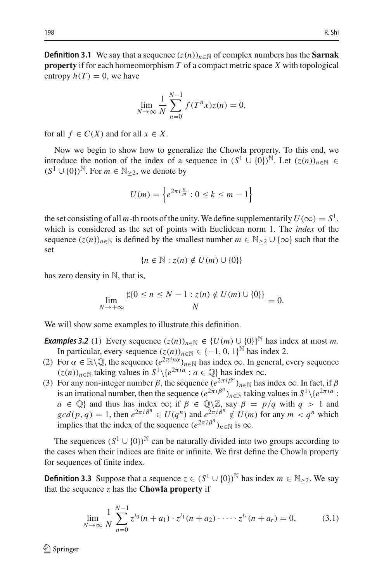**Definition 3.1** We say that a sequence  $(z(n))_{n\in\mathbb{N}}$  of complex numbers has the **Sarnak property** if for each homeomorphism *T* of a compact metric space *X* with topological entropy  $h(T) = 0$ , we have

$$
\lim_{N \to \infty} \frac{1}{N} \sum_{n=0}^{N-1} f(T^n x) z(n) = 0,
$$

for all  $f \in C(X)$  and for all  $x \in X$ .

Now we begin to show how to generalize the Chowla property. To this end, we introduce the notion of the index of a sequence in  $(S^1 \cup \{0\})^{\mathbb{N}}$ . Let  $(z(n))_{n \in \mathbb{N}} \in$  $(S^1 \cup \{0\})^{\mathbb{N}}$ . For  $m \in \mathbb{N}_{\geq 2}$ , we denote by

$$
U(m) = \left\{ e^{2\pi i \frac{k}{m}} : 0 \le k \le m - 1 \right\}
$$

the set consisting of all *m*-th roots of the unity. We define supplementarily  $U(\infty) = S^1$ , which is considered as the set of points with Euclidean norm 1. The *index* of the sequence  $(z(n))_{n \in \mathbb{N}}$  is defined by the smallest number  $m \in \mathbb{N}_{\geq 2} \cup \{\infty\}$  such that the set

$$
\{n\in\mathbb{N}:z(n)\notin U(m)\cup\{0\}\}
$$

has zero density in  $\mathbb{N}$ , that is,

$$
\lim_{N \to +\infty} \frac{\sharp\{0 \le n \le N-1 : z(n) \notin U(m) \cup \{0\}\}}{N} = 0.
$$

We will show some examples to illustrate this definition.

*Examples 3.2* (1) Every sequence  $(z(n))_{n\in\mathbb{N}} \in \{U(m) \cup \{0\}\}^{\mathbb{N}}$  has index at most *m*. In particular, every sequence  $(z(n))_{n \in \mathbb{N}} \in \{-1, 0, 1\}^{\mathbb{N}}$  has index 2.

- (2) For  $\alpha \in \mathbb{R} \setminus \mathbb{Q}$ , the sequence  $(e^{2\pi i n\alpha})_{n \in \mathbb{N}}$  has index  $\infty$ . In general, every sequence  $(z(n))_{n \in \mathbb{N}}$  taking values in  $S^1 \setminus \{e^{2\pi i a} : a \in \mathbb{Q}\}\$  has index  $\infty$ .
- (3) For any non-integer number  $\beta$ , the sequence  $(e^{2\pi i \beta^n})_{n \in \mathbb{N}}$  has index  $\infty$ . In fact, if  $\beta$ is an irrational number, then the sequence  $(e^{2\pi i \beta^n})_{n\in\mathbb{N}}$  taking values in  $S^1\setminus\{e^{2\pi i a}$ : *a* ∈  $\mathbb{Q}$ } and thus has index  $\infty$ ; if  $\beta \in \mathbb{Q} \setminus \mathbb{Z}$ , say  $\beta = p/q$  with  $q > 1$  and  $gcd(p, q) = 1$ , then  $e^{2\pi i \beta^n} \in U(q^n)$  and  $e^{2\pi i \beta^n} \notin U(m)$  for any  $m < q^n$  which implies that the index of the sequence  $(e^{2\pi i \beta^n})_{n \in \mathbb{N}}$  is  $\infty$ .

The sequences  $(S^1 \cup \{0\})^{\mathbb{N}}$  can be naturally divided into two groups according to the cases when their indices are finite or infinite. We first define the Chowla property for sequences of finite index.

<span id="page-5-0"></span>**Definition 3.3** Suppose that a sequence  $z \in (S^1 \cup \{0\})^{\mathbb{N}}$  has index  $m \in \mathbb{N}_{\geq 2}$ . We say that the sequence  $z$  has the **Chowla property** if

$$
\lim_{N \to \infty} \frac{1}{N} \sum_{n=0}^{N-1} z^{i_0} (n + a_1) \cdot z^{i_1} (n + a_2) \cdot \dots \cdot z^{i_r} (n + a_r) = 0,
$$
 (3.1)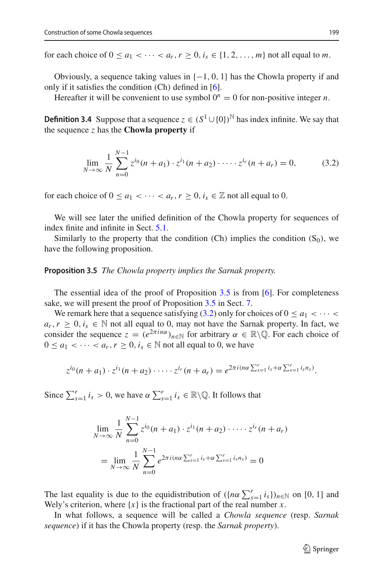for each choice of  $0 \le a_1 < \cdots < a_r$ ,  $r \ge 0$ ,  $i_s \in \{1, 2, \ldots, m\}$  not all equal to *m*.

Obviously, a sequence taking values in  $\{-1, 0, 1\}$  has the Chowla property if and only if it satisfies the condition  $(Ch)$  defined in  $[6]$  $[6]$ .

<span id="page-6-2"></span>Hereafter it will be convenient to use symbol  $0^n = 0$  for non-positive integer *n*.

**Definition 3.4** Suppose that a sequence  $z \in (S^1 \cup \{0\})^{\mathbb{N}}$  has index infinite. We say that the sequence *z* has the **Chowla property** if

<span id="page-6-1"></span>
$$
\lim_{N \to \infty} \frac{1}{N} \sum_{n=0}^{N-1} z^{i_0} (n + a_1) \cdot z^{i_1} (n + a_2) \cdot \dots \cdot z^{i_r} (n + a_r) = 0,
$$
 (3.2)

for each choice of  $0 \le a_1 < \cdots < a_r$ ,  $r \ge 0$ ,  $i_s \in \mathbb{Z}$  not all equal to 0.

We will see later the unified definition of the Chowla property for sequences of index finite and infinite in Sect. [5.1.](#page-12-1)

<span id="page-6-0"></span>Similarly to the property that the condition (Ch) implies the condition  $(S_0)$ , we have the following proposition.

**Proposition 3.5** *The Chowla property implies the Sarnak property.*

The essential idea of the proof of Proposition [3.5](#page-6-0) is from [\[6](#page-30-1)]. For completeness sake, we will present the proof of Proposition [3.5](#page-6-0) in Sect. [7.](#page-22-0)

We remark here that a sequence satisfying [\(3.2\)](#page-6-1) only for choices of  $0 \le a_1 < \cdots <$  $a_r, r \geq 0, i_s \in \mathbb{N}$  not all equal to 0, may not have the Sarnak property. In fact, we consider the sequence  $z = (e^{2\pi i n\alpha})_{n \in \mathbb{N}}$  for arbitrary  $\alpha \in \mathbb{R} \setminus \mathbb{Q}$ . For each choice of  $0 \le a_1 < \cdots < a_r, r \ge 0, i_s \in \mathbb{N}$  not all equal to 0, we have

$$
z^{i_0}(n+a_1)\cdot z^{i_1}(n+a_2)\cdot\cdots\cdot z^{i_r}(n+a_r)=e^{2\pi i(n\alpha\sum_{s=1}^r i_s+\alpha\sum_{s=1}^r i_s n_s)}.
$$

Since  $\sum_{s=1}^r i_s > 0$ , we have  $\alpha \sum_{s=1}^r i_s \in \mathbb{R} \setminus \mathbb{Q}$ . It follows that

$$
\lim_{N \to \infty} \frac{1}{N} \sum_{n=0}^{N-1} z^{i_0} (n + a_1) \cdot z^{i_1} (n + a_2) \cdot \dots \cdot z^{i_r} (n + a_r)
$$
\n
$$
= \lim_{N \to \infty} \frac{1}{N} \sum_{n=0}^{N-1} e^{2\pi i (n\alpha \sum_{s=1}^r i_s + \alpha \sum_{s=1}^r i_s n_s)} = 0
$$

The last equality is due to the equidistribution of  $({n\alpha} \sum_{s=1}^{r} i_s)_{n \in \mathbb{N}}$  on [0, 1] and Wely's criterion, where  $\{x\}$  is the fractional part of the real number *x*.

In what follows, a sequence will be called a *Chowla sequence* (resp. *Sarnak sequence*) if it has the Chowla property (resp. the *Sarnak property*).

 $\mathcal{D}$  Springer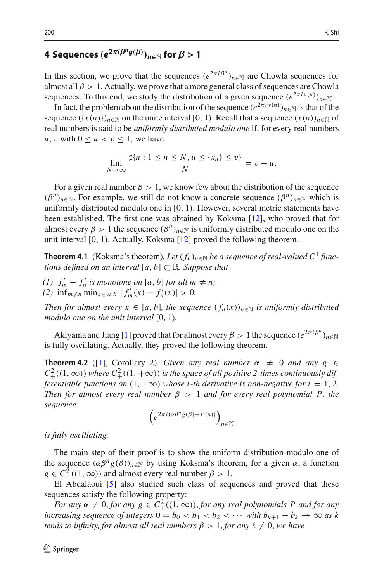# <span id="page-7-0"></span>**4** Sequences  $(e^{2\pi i \beta^n g(\beta)})_{n \in \mathbb{N}}$  for  $\beta > 1$

In this section, we prove that the sequences  $(e^{2\pi i \beta^n})_{n \in \mathbb{N}}$  are Chowla sequences for almost all  $\beta > 1$ . Actually, we prove that a more general class of sequences are Chowla sequences. To this end, we study the distribution of a given sequence  $(e^{2\pi i x(n)})_{n \in \mathbb{N}}$ .

In fact, the problem about the distribution of the sequence  $(e^{2\pi i x(n)})_{n\in\mathbb{N}}$  is that of the sequence  $({x(n)})_{n\in\mathbb{N}}$  on the unite interval [0, 1). Recall that a sequence  $(x(n))_{n\in\mathbb{N}}$  of real numbers is said to be *uniformly distributed modulo one* if, for every real numbers *u*, *v* with  $0 \le u < v \le 1$ , we have

$$
\lim_{N\to\infty}\frac{\sharp\{n:1\leq n\leq N,u\leq\{x_n\}\leq v\}}{N}=v-u.
$$

For a given real number  $\beta > 1$ , we know few about the distribution of the sequence  $(\beta^n)_{n \in \mathbb{N}}$ . For example, we still do not know a concrete sequence  $(\beta^n)_{n \in \mathbb{N}}$  which is uniformly distributed modulo one in  $[0, 1)$ . However, several metric statements have been established. The first one was obtained by Koksma [\[12\]](#page-31-7), who proved that for almost every  $\beta > 1$  the sequence  $(\beta^n)_{n \in \mathbb{N}}$  is uniformly distributed modulo one on the unit interval [0, 1). Actually, Koksma [\[12\]](#page-31-7) proved the following theorem.

**Theorem 4.1** (Koksma's theorem). Let  $(f_n)_{n\in\mathbb{N}}$  be a sequence of real-valued C<sup>1</sup> func*tions defined on an interval*  $[a, b] \subset \mathbb{R}$ *. Suppose that* 

(1)  $f'_m - f'_n$  *is monotone on* [*a*, *b*] *for all*  $m \neq n$ ;  $f'_m(x) - f'_n(x)| > 0.$ 

*Then for almost every*  $x \in [a, b]$ *, the sequence*  $(f_n(x))_{n \in \mathbb{N}}$  *is uniformly distributed modulo one on the unit interval* [0, 1)*.*

Akiyama and Jiang [\[1](#page-30-2)] proved that for almost every  $\beta > 1$  the sequence  $(e^{2\pi i \beta^n})_{n \in \mathbb{N}}$ is fully oscillating. Actually, they proved the following theorem.

**Theorem 4.2** ([\[1](#page-30-2)], Corollary 2)*. Given any real number*  $\alpha \neq 0$  *and any*  $g \in$  $C^2_+((1,\infty))$  *where*  $C^2_+((1,+\infty))$  *is the space of all positive 2-times continuously differentiable functions on*  $(1, +\infty)$  *whose i-th derivative is non-negative for i* = 1, 2*. Then for almost every real number*  $\beta > 1$  *and for every real polynomial P, the sequence*

$$
\left(e^{2\pi i(\alpha\beta^ng(\beta)+P(n))}\right)_{n\in\mathbb{N}}
$$

*is fully oscillating.*

The main step of their proof is to show the uniform distribution modulo one of the sequence  $(\alpha \beta^{n} g(\beta))_{n \in \mathbb{N}}$  by using Koksma's theorem, for a given  $\alpha$ , a function  $g \in C^2_+((1,\infty))$  and almost every real number  $\beta > 1$ .

El Abdalaoui [\[5](#page-30-3)] also studied such class of sequences and proved that these sequences satisfy the following property:

*For any*  $\alpha \neq 0$ , *for any*  $g \in C^2_+((1, \infty))$ , *for any real polynomials* P and *for any increasing sequence of integers*  $0 = b_0 < b_1 < b_2 < \cdots$  *with*  $b_{k+1} - b_k \to \infty$  *as k tends to infinity, for almost all real numbers*  $\beta > 1$ , *for any*  $\ell \neq 0$ , *we have*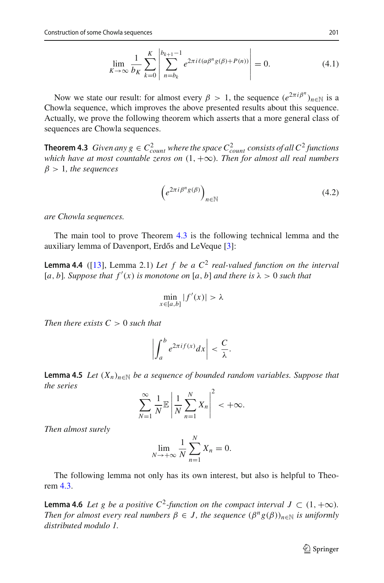$$
\lim_{K \to \infty} \frac{1}{b_K} \sum_{k=0}^{K} \left| \sum_{n=b_k}^{b_{k+1}-1} e^{2\pi i \ell (\alpha \beta^n g(\beta) + P(n))} \right| = 0.
$$
 (4.1)

Now we state our result: for almost every  $\beta > 1$ , the sequence  $(e^{2\pi i \beta^n})_{n \in \mathbb{N}}$  is a Chowla sequence, which improves the above presented results about this sequence. Actually, we prove the following theorem which asserts that a more general class of sequences are Chowla sequences.

<span id="page-8-0"></span>**Theorem 4.3** *Given any*  $g \in C_{count}^2$  *where the space*  $C_{count}^2$  *consists of all*  $C^2$  *functions which have at most countable zeros on* (1, +∞)*. Then for almost all real numbers*  $\beta > 1$ , the sequences

$$
\left(e^{2\pi i \beta^n g(\beta)}\right)_{n \in \mathbb{N}}\tag{4.2}
$$

*are Chowla sequences.*

<span id="page-8-1"></span>The main tool to prove Theorem [4.3](#page-8-0) is the following technical lemma and the auxiliary lemma of Davenport, Erdős and LeVeque [\[3\]](#page-30-4):

**Lemma 4.4** ([\[13](#page-31-8)], Lemma 2.1) *Let f be a C*<sup>2</sup> *real-valued function on the interval*  $[a, b]$ *. Suppose that*  $f'(x)$  *is monotone on*  $[a, b]$  *and there is*  $\lambda > 0$  *such that* 

$$
\min_{x \in [a,b]} |f'(x)| > \lambda
$$

*Then there exists C* > 0 *such that*

$$
\left|\int_a^b e^{2\pi i f(x)} dx\right| < \frac{C}{\lambda}.
$$

<span id="page-8-2"></span>**Lemma 4.5** *Let*  $(X_n)_{n \in \mathbb{N}}$  *be a sequence of bounded random variables. Suppose that the series*

$$
\sum_{N=1}^{\infty} \frac{1}{N} \mathbb{E} \left| \frac{1}{N} \sum_{n=1}^{N} X_n \right|^2 < +\infty.
$$

*Then almost surely*

$$
\lim_{N \to +\infty} \frac{1}{N} \sum_{n=1}^{N} X_n = 0.
$$

<span id="page-8-3"></span>The following lemma not only has its own interest, but also is helpful to Theorem [4.3.](#page-8-0)

**Lemma 4.6** *Let g be a positive*  $C^2$ -function on the compact interval  $J \subset (1, +\infty)$ . *Then for almost every real numbers*  $\beta \in J$ , the sequence  $(\beta^{n}g(\beta))_{n\in\mathbb{N}}$  *is uniformly distributed modulo 1.*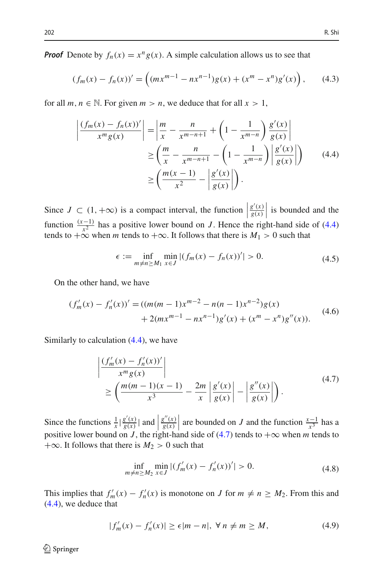*Proof* Denote by  $f_n(x) = x^n g(x)$ . A simple calculation allows us to see that

$$
(f_m(x) - f_n(x))' = \left( (mx^{m-1} - nx^{n-1})g(x) + (x^m - x^n)g'(x) \right), \quad (4.3)
$$

for all  $m, n \in \mathbb{N}$ . For given  $m > n$ , we deduce that for all  $x > 1$ ,

<span id="page-9-0"></span>
$$
\left| \frac{(f_m(x) - f_n(x))'}{x^m g(x)} \right| = \left| \frac{m}{x} - \frac{n}{x^{m-n+1}} + \left( 1 - \frac{1}{x^{m-n}} \right) \frac{g'(x)}{g(x)} \right|
$$
  
\n
$$
\geq \left( \frac{m}{x} - \frac{n}{x^{m-n+1}} - \left( 1 - \frac{1}{x^{m-n}} \right) \left| \frac{g'(x)}{g(x)} \right| \right) \tag{4.4}
$$
  
\n
$$
\geq \left( \frac{m(x-1)}{x^2} - \left| \frac{g'(x)}{g(x)} \right| \right).
$$

Since  $J \subset (1, +\infty)$  is a compact interval, the function *g* (*x*)  $\frac{g'(x)}{g(x)}$ is bounded and the function  $\frac{(x-1)}{x^2}$  has a positive lower bound on *J*. Hence the right-hand side of [\(4.4\)](#page-9-0) tends to  $+\infty$  when *m* tends to  $+\infty$ . It follows that there is  $M_1 > 0$  such that

$$
\epsilon := \inf_{m \neq n \ge M_1} \min_{x \in J} |(f_m(x) - f_n(x))'| > 0.
$$
\n(4.5)

On the other hand, we have

$$
(f'_m(x) - f'_n(x))' = ((m(m-1)x^{m-2} - n(n-1)x^{n-2})g(x)
$$
  
+ 2(mx<sup>m-1</sup> - nx<sup>n-1</sup>)g'(x) + (x<sup>m</sup> - x<sup>n</sup>)g''(x)). (4.6)

Similarly to calculation [\(4.4\)](#page-9-0), we have

<span id="page-9-1"></span>
$$
\left| \frac{\left(f'_m(x) - f'_n(x)\right)'}{x^m g(x)} \right|
$$
\n
$$
\geq \left( \frac{m(m-1)(x-1)}{x^3} - \frac{2m}{x} \left| \frac{g'(x)}{g(x)} \right| - \left| \frac{g''(x)}{g(x)} \right| \right). \tag{4.7}
$$

Since the functions  $\frac{1}{x} \left| \frac{g'(x)}{g(x)} \right|$  and  $\left| \frac{g''(x)}{g(x)} \right|$ positive lower bound on *J*, the right-hand side of [\(4.7\)](#page-9-1) tends to  $+\infty$  when *m* tends to  $\left| \frac{g''(x)}{g(x)} \right|$  are bounded on *J* and the function  $\frac{x-1}{x^3}$  has a  $+\infty$ . It follows that there is  $M_2 > 0$  such that

$$
\inf_{m \neq n \ge M_2} \min_{x \in J} |(f'_m(x) - f'_n(x))'| > 0. \tag{4.8}
$$

This implies that  $f'_m(x) - f'_n(x)$  is monotone on *J* for  $m \neq n \geq M_2$ . From this and [\(4.4\)](#page-9-0), we deduce that

<span id="page-9-2"></span>
$$
|f'_m(x) - f'_n(x)| \ge \epsilon |m - n|, \ \forall \ n \ne m \ge M,\tag{4.9}
$$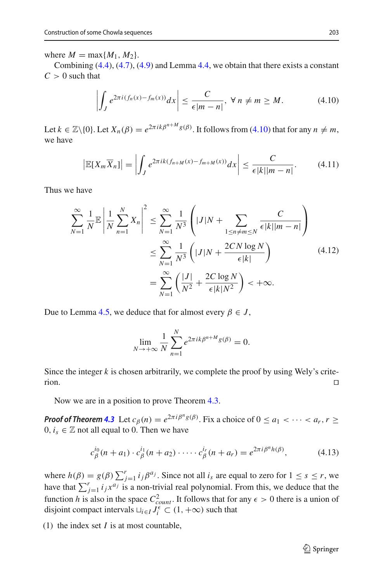where  $M = \max\{M_1, M_2\}$ .

Combining  $(4.4)$ ,  $(4.7)$ ,  $(4.9)$  and Lemma [4.4,](#page-8-1) we obtain that there exists a constant  $C > 0$  such that

<span id="page-10-0"></span>
$$
\left| \int_{J} e^{2\pi i (f_n(x) - f_m(x))} dx \right| \leq \frac{C}{\epsilon |m - n|}, \ \forall \ n \neq m \geq M. \tag{4.10}
$$

Let  $k \in \mathbb{Z} \setminus \{0\}$ . Let  $X_n(\beta) = e^{2\pi i k \beta^{n+M} g(\beta)}$ . It follows from [\(4.10\)](#page-10-0) that for any  $n \neq m$ , we have

$$
\left|\mathbb{E}[X_m\overline{X}_n]\right| = \left|\int_J e^{2\pi i k (f_{n+M}(x) - f_{m+M}(x))} dx\right| \leq \frac{C}{\epsilon |k| |m-n|}. \tag{4.11}
$$

Thus we have

$$
\sum_{N=1}^{\infty} \frac{1}{N} \mathbb{E} \left| \frac{1}{N} \sum_{n=1}^{N} X_n \right|^2 \le \sum_{N=1}^{\infty} \frac{1}{N^3} \left( |J|N + \sum_{1 \le n \ne m \le N} \frac{C}{\epsilon |k| |m - n|} \right)
$$

$$
\le \sum_{N=1}^{\infty} \frac{1}{N^3} \left( |J|N + \frac{2CN \log N}{\epsilon |k|} \right)
$$

$$
= \sum_{N=1}^{\infty} \left( \frac{|J|}{N^2} + \frac{2C \log N}{\epsilon |k| N^2} \right) < +\infty.
$$
 (4.12)

Due to Lemma [4.5,](#page-8-2) we deduce that for almost every  $\beta \in J$ ,

$$
\lim_{N \to +\infty} \frac{1}{N} \sum_{n=1}^{N} e^{2\pi i k \beta^{n+M} g(\beta)} = 0.
$$

Since the integer  $k$  is chosen arbitrarily, we complete the proof by using Wely's criterion.

Now we are in a position to prove Theorem [4.3.](#page-8-0)

*Proof of Theorem [4.3](#page-8-0)* Let  $c_{\beta}(n) = e^{2\pi i \beta^{n} g(\beta)}$ . Fix a choice of  $0 \le a_1 < \cdots < a_r$ ,  $r \ge$  $0, i_s \in \mathbb{Z}$  not all equal to 0. Then we have

<span id="page-10-1"></span>
$$
c_{\beta}^{i_0}(n+a_1) \cdot c_{\beta}^{i_1}(n+a_2) \cdot \cdots \cdot c_{\beta}^{i_r}(n+a_r) = e^{2\pi i \beta^n h(\beta)}, \qquad (4.13)
$$

where  $h(\beta) = g(\beta) \sum_{j=1}^r i_j \beta^{a_j}$ . Since not all  $i_s$  are equal to zero for  $1 \le s \le r$ , we have that  $\sum_{j=1}^{r} i_j x^{a_j}$  is a non-trivial real polynomial. From this, we deduce that the function *h* is also in the space  $C_{count}^2$ . It follows that for any  $\epsilon > 0$  there is a union of disjoint compact intervals  $\sqcup_{i \in I} J_i^{\epsilon} \subset (1, +\infty)$  such that

(1) the index set *I* is at most countable,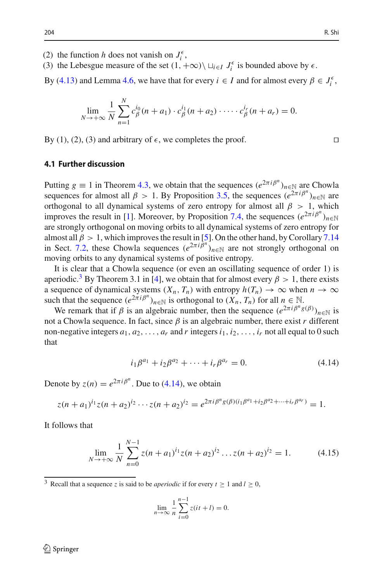- (2) the function *h* does not vanish on  $J_i^{\epsilon}$ ,
- (3) the Lebesgue measure of the set  $(1, +\infty) \setminus \sqcup_{i \in I} J_i^{\epsilon}$  is bounded above by  $\epsilon$ .

By [\(4.13\)](#page-10-1) and Lemma [4.6,](#page-8-3) we have that for every  $i \in I$  and for almost every  $\beta \in J_i^{\epsilon}$ ,

$$
\lim_{N \to +\infty} \frac{1}{N} \sum_{n=1}^{N} c_{\beta}^{i_0}(n+a_1) \cdot c_{\beta}^{i_1}(n+a_2) \cdot \cdots \cdot c_{\beta}^{i_r}(n+a_r) = 0.
$$

By (1), (2), (3) and arbitrary of  $\epsilon$ , we completes the proof.

## **4.1 Further discussion**

Putting  $g \equiv 1$  in Theorem [4.3,](#page-8-0) we obtain that the sequences  $(e^{2\pi i \beta^n})_{n \in \mathbb{N}}$  are Chowla sequences for almost all  $\beta > 1$ . By Proposition [3.5,](#page-6-0) the sequences  $(e^{2\pi i \beta^n})_{n \in \mathbb{N}}$  are orthogonal to all dynamical systems of zero entropy for almost all  $\beta > 1$ , which improves the result in [\[1\]](#page-30-2). Moreover, by Proposition [7.4,](#page-23-0) the sequences  $(e^{2\pi i \beta^n})_{n \in \mathbb{N}}$ are strongly orthogonal on moving orbits to all dynamical systems of zero entropy for almost all  $\beta > 1$ , which improves the result in [\[5\]](#page-30-3). On the other hand, by Corollary [7.14](#page-29-0) in Sect. [7.2,](#page-24-0) these Chowla sequences  $(e^{2\pi i \beta^n})_{n \in \mathbb{N}}$  are not strongly orthogonal on moving orbits to any dynamical systems of positive entropy.

It is clear that a Chowla sequence (or even an oscillating sequence of order 1) is aperiodic.<sup>[3](#page-11-0)</sup> By Theorem 3.1 in [\[4\]](#page-30-5), we obtain that for almost every  $\beta > 1$ , there exists a sequence of dynamical systems  $(X_n, T_n)$  with entropy  $h(T_n) \to \infty$  when  $n \to \infty$ such that the sequence  $(e^{2\pi i \beta^n})_{n \in \mathbb{N}}$  is orthogonal to  $(X_n, T_n)$  for all  $n \in \mathbb{N}$ .

We remark that if  $\beta$  is an algebraic number, then the sequence  $(e^{2\pi i \beta^n g(\beta)})_{n \in \mathbb{N}}$  is not a Chowla sequence. In fact, since  $β$  is an algebraic number, there exist *r* different non-negative integers  $a_1, a_2, \ldots, a_r$  and  $r$  integers  $i_1, i_2, \ldots, i_r$  not all equal to 0 such that

<span id="page-11-1"></span>
$$
i_1\beta^{a_1} + i_2\beta^{a_2} + \dots + i_r\beta^{a_r} = 0.
$$
 (4.14)

Denote by  $z(n) = e^{2\pi i \beta^n}$ . Due to [\(4.14\)](#page-11-1), we obtain

$$
z(n+a_1)^{i_1}z(n+a_2)^{i_2}\cdots z(n+a_2)^{i_2}=e^{2\pi i\beta^ng(\beta)(i_1\beta^{a_1}+i_2\beta^{a_2}+\cdots+i_r\beta^{a_r})}=1.
$$

It follows that

<span id="page-11-2"></span>
$$
\lim_{N \to +\infty} \frac{1}{N} \sum_{n=0}^{N-1} z(n+a_1)^{i_1} z(n+a_2)^{i_2} \dots z(n+a_2)^{i_2} = 1.
$$
 (4.15)

<span id="page-11-0"></span><sup>3</sup> Recall that a sequence *z* is said to be *aperiodic* if for every  $t \ge 1$  and  $l \ge 0$ ,

$$
\lim_{n \to \infty} \frac{1}{n} \sum_{i=0}^{n-1} z(it + l) = 0.
$$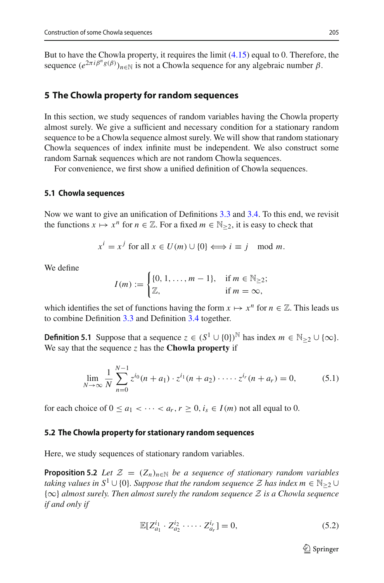But to have the Chowla property, it requires the limit [\(4.15\)](#page-11-2) equal to 0. Therefore, the sequence  $(e^{2\pi i \beta^n g(\beta)})_{n\in\mathbb{N}}$  is not a Chowla sequence for any algebraic number  $\beta$ .

# <span id="page-12-0"></span>**5 The Chowla property for random sequences**

In this section, we study sequences of random variables having the Chowla property almost surely. We give a sufficient and necessary condition for a stationary random sequence to be a Chowla sequence almost surely. We will show that random stationary Chowla sequences of index infinite must be independent. We also construct some random Sarnak sequences which are not random Chowla sequences.

For convenience, we first show a unified definition of Chowla sequences.

#### <span id="page-12-1"></span>**5.1 Chowla sequences**

Now we want to give an unification of Definitions [3.3](#page-5-0) and [3.4.](#page-6-2) To this end, we revisit the functions  $x \mapsto x^n$  for  $n \in \mathbb{Z}$ . For a fixed  $m \in \mathbb{N}_{\geq 2}$ , it is easy to check that

$$
x^{i} = x^{j} \text{ for all } x \in U(m) \cup \{0\} \Longleftrightarrow i \equiv j \mod m.
$$

We define

$$
I(m) := \begin{cases} \{0, 1, \dots, m-1\}, & \text{if } m \in \mathbb{N}_{\geq 2}; \\ \mathbb{Z}, & \text{if } m = \infty, \end{cases}
$$

which identifies the set of functions having the form  $x \mapsto x^n$  for  $n \in \mathbb{Z}$ . This leads us to combine Definition [3.3](#page-5-0) and Definition [3.4](#page-6-2) together.

**Definition 5.1** Suppose that a sequence  $z \in (S^1 \cup \{0\})^{\mathbb{N}}$  has index  $m \in \mathbb{N}_{\geq 2} \cup \{\infty\}.$ We say that the sequence  $z$  has the **Chowla property** if

$$
\lim_{N \to \infty} \frac{1}{N} \sum_{n=0}^{N-1} z^{i_0} (n + a_1) \cdot z^{i_1} (n + a_2) \cdot \dots \cdot z^{i_r} (n + a_r) = 0,
$$
 (5.1)

for each choice of  $0 \le a_1 < \cdots < a_r, r \ge 0, i_s \in I(m)$  not all equal to 0.

#### **5.2 The Chowla property for stationary random sequences**

<span id="page-12-3"></span>Here, we study sequences of stationary random variables.

**Proposition 5.2** *Let*  $\mathcal{Z} = (Z_n)_{n \in \mathbb{N}}$  *be a sequence of stationary random variables taking values in*  $S^1 \cup \{0\}$ *. Suppose that the random sequence*  $\mathcal Z$  *has index*  $m \in \mathbb N_{\geq 2} \cup$ {∞} *almost surely. Then almost surely the random sequence Z is a Chowla sequence if and only if*

<span id="page-12-2"></span>
$$
\mathbb{E}[Z_{a_1}^{i_1} \cdot Z_{a_2}^{i_2} \cdot \dots \cdot Z_{a_r}^{i_r}] = 0,
$$
\n(5.2)

 $\mathcal{D}$  Springer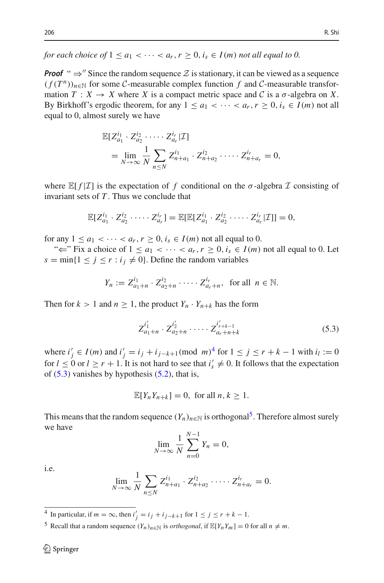*for each choice of*  $1 \le a_1 < \cdots < a_r$ ,  $r \ge 0$ ,  $i_s \in I(m)$  *not all equal to 0.* 

**Proof** "  $\Rightarrow$ " Since the random sequence  $Z$  is stationary, it can be viewed as a sequence  $(f(T^n))_{n\in\mathbb{N}}$  for some *C*-measurable complex function f and *C*-measurable transformation  $T: X \to X$  where *X* is a compact metric space and *C* is a  $\sigma$ -algebra on *X*. By Birkhoff's ergodic theorem, for any  $1 \le a_1 < \cdots < a_r, r \ge 0, i_s \in I(m)$  not all equal to 0, almost surely we have

$$
\mathbb{E}[Z_{a_1}^{i_1} \cdot Z_{a_2}^{i_2} \cdot \dots \cdot Z_{a_r}^{i_r} | \mathcal{I}]
$$
  
= 
$$
\lim_{N \to \infty} \frac{1}{N} \sum_{n \leq N} Z_{n+a_1}^{i_1} \cdot Z_{n+a_2}^{i_2} \cdot \dots \cdot Z_{n+a_r}^{i_r} = 0,
$$

where  $\mathbb{E}[f|\mathcal{I}]$  is the expectation of f conditional on the  $\sigma$ -algebra  $\mathcal I$  consisting of invariant sets of *T* . Thus we conclude that

$$
\mathbb{E}[Z_{a_1}^{i_1} \cdot Z_{a_2}^{i_2} \cdot \cdots \cdot Z_{a_r}^{i_r}] = \mathbb{E}[\mathbb{E}[Z_{a_1}^{i_1} \cdot Z_{a_2}^{i_2} \cdot \cdots \cdot Z_{a_r}^{i_r} | \mathcal{I}]]=0,
$$

for any  $1 \le a_1 < \cdots < a_r, r \ge 0, i_s \in I(m)$  not all equal to 0.

" $\Leftarrow$ " Fix a choice of  $1 \le a_1 < \cdots < a_r$ ,  $r \ge 0$ ,  $i_s \in I(m)$  not all equal to 0. Let  $s = \min\{1 \le j \le r : i_j \ne 0\}$ . Define the random variables

$$
Y_n := Z_{a_1+n}^{i_1} \cdot Z_{a_2+n}^{i_2} \cdot \dots \cdot Z_{a_r+n}^{i_r}, \text{ for all } n \in \mathbb{N}.
$$

Then for  $k > 1$  and  $n \ge 1$ , the product  $Y_n \cdot Y_{n+k}$  has the form

<span id="page-13-1"></span>
$$
Z_{a_1+n}^{i'_1} \cdot Z_{a_2+n}^{i'_2} \cdot \dots \cdot Z_{a_r+n+k}^{i'_{r+k-1}}
$$
 (5.3)

where  $i'_{j}$  ∈ *I*(*m*) and  $i'_{j} = i_{j} + i_{j-k+1}$ (mod *m*)<sup>[4](#page-13-0)</sup> for  $1 \le j \le r + k - 1$  with  $i_{l} := 0$ for  $l \leq 0$  or  $l \geq r + 1$ . It is not hard to see that  $i'_{s} \neq 0$ . It follows that the expectation of  $(5.3)$  vanishes by hypothesis  $(5.2)$ , that is,

$$
\mathbb{E}[Y_n Y_{n+k}] = 0, \text{ for all } n, k \ge 1.
$$

This means that the random sequence  $(Y_n)_{n \in \mathbb{N}}$  is orthogonal<sup>5</sup>. Therefore almost surely we have

$$
\lim_{N \to \infty} \frac{1}{N} \sum_{n=0}^{N-1} Y_n = 0,
$$

i.e.

$$
\lim_{N \to \infty} \frac{1}{N} \sum_{n \leq N} Z_{n+a_1}^{i_1} \cdot Z_{n+a_2}^{i_2} \cdot \dots \cdot Z_{n+a_r}^{i_r} = 0.
$$

<span id="page-13-0"></span><sup>4</sup> In particular, if  $m = \infty$ , then  $i'_j = i_j + i_{j-k+1}$  for  $1 \le j \le r + k - 1$ .

<span id="page-13-2"></span><sup>5</sup> Recall that a random sequence  $(Y_n)_{n \in \mathbb{N}}$  is *orthogonal*, if  $\mathbb{E}[Y_n Y_m] = 0$  for all  $n \neq m$ .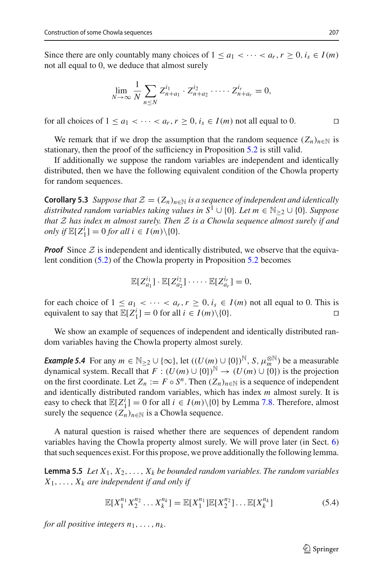Since there are only countably many choices of  $1 \le a_1 < \cdots < a_r, r \ge 0, i_s \in I(m)$ not all equal to 0, we deduce that almost surely

$$
\lim_{N \to \infty} \frac{1}{N} \sum_{n \leq N} Z_{n+a_1}^{i_1} \cdot Z_{n+a_2}^{i_2} \cdot \dots \cdot Z_{n+a_r}^{i_r} = 0,
$$

for all choices of  $1 \le a_1 < \cdots < a_r, r \ge 0, i_s \in I(m)$  not all equal to 0.

We remark that if we drop the assumption that the random sequence  $(Z_n)_{n \in \mathbb{N}}$  is stationary, then the proof of the sufficiency in Proposition [5.2](#page-12-3) is still valid.

If additionally we suppose the random variables are independent and identically distributed, then we have the following equivalent condition of the Chowla property for random sequences.

**Corollary 5.3** *Suppose that*  $\mathcal{Z} = (Z_n)_{n \in \mathbb{N}}$  *is a sequence of independent and identically distributed random variables taking values in*  $S^1 \cup \{0\}$ *. Let m* ∈ N<sub>>2</sub> ∪  $\{0\}$ *. Suppose that Z has index m almost surely. Then Z is a Chowla sequence almost surely if and only if*  $\mathbb{E}[Z_1^i] = 0$  *for all i*  $\in I(m) \setminus \{0\}.$ 

*Proof* Since  $Z$  is independent and identically distributed, we observe that the equivalent condition [\(5.2\)](#page-12-2) of the Chowla property in Proposition [5.2](#page-12-3) becomes

$$
\mathbb{E}[Z_{a_1}^{i_1}] \cdot \mathbb{E}[Z_{a_2}^{i_2}] \cdot \cdots \cdot \mathbb{E}[Z_{a_r}^{i_r}] = 0,
$$

for each choice of  $1 \le a_1 < \cdots < a_r, r \ge 0, i_s \in I(m)$  not all equal to 0. This is equivalent to say that  $\mathbb{E}[Z_i^i] = 0$  for all  $i \in I(m) \setminus \{0\}$ . equivalent to say that  $\mathbb{E}[Z_1^i] = 0$  for all  $i \in I(m) \setminus \{0\}.$ 

We show an example of sequences of independent and identically distributed random variables having the Chowla property almost surely.

*Example 5.4* For any  $m \in \mathbb{N}_{\geq 2} \cup \{\infty\}$ , let  $((U(m) \cup \{0\})^{\mathbb{N}}, S, \mu_m^{\otimes \mathbb{N}})$  be a measurable dynamical system. Recall that  $F : (U(m) \cup \{0\})^{\mathbb{N}} \to (U(m) \cup \{0\})$  is the projection on the first coordinate. Let  $Z_n := F \circ S^n$ . Then  $(Z_n)_{n \in \mathbb{N}}$  is a sequence of independent and identically distributed random variables, which has index *m* almost surely. It is easy to check that  $\mathbb{E}[Z_1^i] = 0$  for all  $i \in I(m) \setminus \{0\}$  by Lemma [7.8.](#page-25-0) Therefore, almost surely the sequence  $(Z_n)_{n \in \mathbb{N}}$  is a Chowla sequence.

A natural question is raised whether there are sequences of dependent random variables having the Chowla property almost surely. We will prove later (in Sect. [6\)](#page-18-0) that such sequences exist. For this propose, we prove additionally the following lemma.

<span id="page-14-1"></span>**Lemma 5.5** *Let*  $X_1, X_2, \ldots, X_k$  *be bounded random variables. The random variables*  $X_1, \ldots, X_k$  *are independent if and only if* 

<span id="page-14-0"></span>
$$
\mathbb{E}[X_1^{n_1} X_2^{n_2} \dots X_k^{n_k}] = \mathbb{E}[X_1^{n_1}] \mathbb{E}[X_2^{n_2}] \dots \mathbb{E}[X_k^{n_k}]
$$
\n(5.4)

*for all positive integers*  $n_1, \ldots, n_k$ .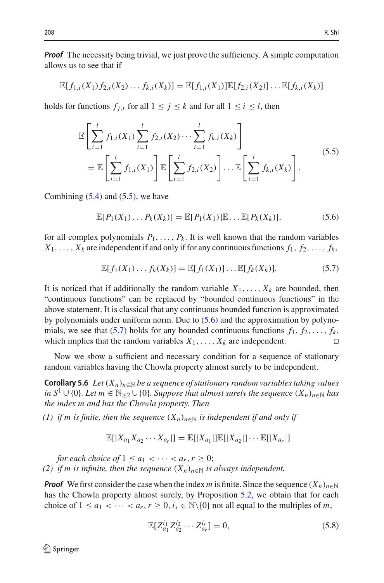*Proof* The necessity being trivial, we just prove the sufficiency. A simple computation allows us to see that if

$$
\mathbb{E}[f_{1,i}(X_1)f_{2,i}(X_2)\dots f_{k,i}(X_k)]=\mathbb{E}[f_{1,i}(X_1)]\mathbb{E}[f_{2,i}(X_2)]\dots\mathbb{E}[f_{k,i}(X_k)]
$$

holds for functions  $f_{i,i}$  for all  $1 \leq j \leq k$  and for all  $1 \leq i \leq l$ , then

<span id="page-15-0"></span>
$$
\mathbb{E}\left[\sum_{i=1}^{l} f_{1,i}(X_1) \sum_{i=1}^{l} f_{2,i}(X_2) \cdots \sum_{i=1}^{l} f_{k,i}(X_k)\right] \n= \mathbb{E}\left[\sum_{i=1}^{l} f_{1,i}(X_1)\right] \mathbb{E}\left[\sum_{i=1}^{l} f_{2,i}(X_2)\right] \cdots \mathbb{E}\left[\sum_{i=1}^{l} f_{k,i}(X_k)\right].
$$
\n(5.5)

Combining  $(5.4)$  and  $(5.5)$ , we have

<span id="page-15-1"></span> $\mathbb{E}[P_1(X_1)...P_k(X_k)] = \mathbb{E}[P_1(X_1)]\mathbb{E}... \mathbb{E}[P_k(X_k)],$  (5.6)

for all complex polynomials  $P_1, \ldots, P_k$ . It is well known that the random variables  $X_1, \ldots, X_k$  are independent if and only if for any continuous functions  $f_1, f_2, \ldots, f_k$ 

<span id="page-15-2"></span>
$$
\mathbb{E}[f_1(X_1)\dots f_k(X_k)] = \mathbb{E}[f_1(X_1)]\dots \mathbb{E}[f_k(X_k)].
$$
\n(5.7)

It is noticed that if additionally the random variable  $X_1, \ldots, X_k$  are bounded, then "continuous functions" can be replaced by "bounded continuous functions" in the above statement. It is classical that any continuous bounded function is approximated by polynomials under uniform norm. Due to [\(5.6\)](#page-15-1) and the approximation by polyno-mials, we see that [\(5.7\)](#page-15-2) holds for any bounded continuous functions  $f_1, f_2, \ldots, f_k$ , which implies that the random variables  $X_1, \ldots, X_k$  are independent.

<span id="page-15-3"></span>Now we show a sufficient and necessary condition for a sequence of stationary random variables having the Chowla property almost surely to be independent.

**Corollary 5.6** *Let*  $(X_n)_{n\in\mathbb{N}}$  *be a sequence of stationary random variables taking values in*  $S^1$  ∪ {0}*. Let*  $m \in \mathbb{N}_{\geq 2}$  ∪ {0}*. Suppose that almost surely the sequence*  $(X_n)_{n \in \mathbb{N}}$  *has the index m and has the Chowla property. Then*

*(1) if m is finite, then the sequence*  $(X_n)_{n\in\mathbb{N}}$  *is independent if and only if* 

$$
\mathbb{E}[|X_{a_1}X_{a_2}\cdots X_{a_r}|] = \mathbb{E}[|X_{a_1}|\mathbb{E}[|X_{a_2}|]\cdots \mathbb{E}[|X_{a_r}|]
$$

*for each choice of*  $1 \le a_1 < \cdots < a_r, r \ge 0$ ; *(2) if m is infinite, then the sequence*  $(X_n)_{n\in\mathbb{N}}$  *is always independent.* 

*Proof* We first consider the case when the index *m* is finite. Since the sequence  $(X_n)_{n\in\mathbb{N}}$ has the Chowla property almost surely, by Proposition [5.2,](#page-12-3) we obtain that for each choice of  $1 \le a_1 < \cdots < a_r, r \ge 0, i_s \in \mathbb{N} \setminus \{0\}$  not all equal to the multiples of *m*,

$$
\mathbb{E}[Z_{a_1}^{i_1} Z_{a_2}^{i_2} \cdots Z_{a_r}^{i_r}] = 0,
$$
\n(5.8)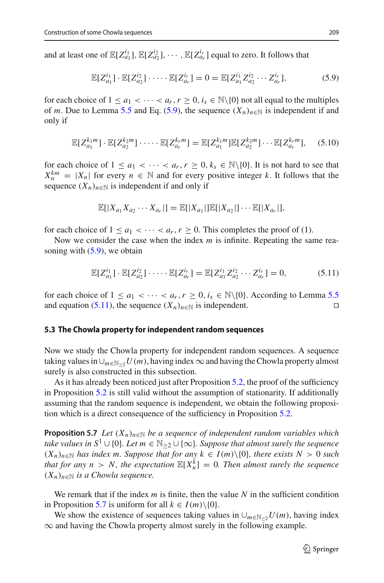and at least one of  $\mathbb{E}[Z_{a_1}^{i_1}], \mathbb{E}[Z_{a_2}^{i_2}], \cdots, \mathbb{E}[Z_{a_r}^{i_r}]$  equal to zero. It follows that

<span id="page-16-0"></span>
$$
\mathbb{E}[Z_{a_1}^{i_1}] \cdot \mathbb{E}[Z_{a_2}^{i_2}] \cdot \dots \cdot \mathbb{E}[Z_{a_r}^{i_r}] = 0 = \mathbb{E}[Z_{a_1}^{i_1} Z_{a_2}^{i_2} \cdots Z_{a_r}^{i_r}],
$$
(5.9)

for each choice of  $1 \le a_1 < \cdots < a_r$ ,  $r \ge 0$ ,  $i_s \in \mathbb{N} \setminus \{0\}$  not all equal to the multiples of *m*. Due to Lemma [5.5](#page-14-1) and Eq. [\(5.9\)](#page-16-0), the sequence  $(X_n)_{n \in \mathbb{N}}$  is independent if and only if

$$
\mathbb{E}[Z_{a_1}^{k_1m}] \cdot \mathbb{E}[Z_{a_2}^{k_2m}] \cdot \dots \cdot \mathbb{E}[Z_{a_r}^{k_rm}] = \mathbb{E}[Z_{a_1}^{k_1m}]\mathbb{E}[Z_{a_2}^{k_2m}] \cdot \dots \mathbb{E}[Z_{a_r}^{k_rm}], \quad (5.10)
$$

for each choice of  $1 \le a_1 < \cdots < a_r, r \ge 0, k_s \in \mathbb{N}\setminus\{0\}$ . It is not hard to see that  $X_n^{km} = |X_n|$  for every  $n \in \mathbb{N}$  and for every positive integer *k*. It follows that the sequence  $(X_n)_{n \in \mathbb{N}}$  is independent if and only if

$$
\mathbb{E}[|X_{a_1}X_{a_2}\cdots X_{a_r}|] = \mathbb{E}[|X_{a_1}|\mathbb{E}[|X_{a_2}|]\cdots \mathbb{E}[|X_{a_r}|],
$$

for each choice of  $1 \le a_1 < \cdots < a_r, r \ge 0$ . This completes the proof of (1).

Now we consider the case when the index *m* is infinite. Repeating the same reasoning with  $(5.9)$ , we obtain

<span id="page-16-1"></span>
$$
\mathbb{E}[Z_{a_1}^{i_1}] \cdot \mathbb{E}[Z_{a_2}^{i_2}] \cdot \dots \cdot \mathbb{E}[Z_{a_r}^{i_r}] = \mathbb{E}[Z_{a_1}^{i_1} Z_{a_2}^{i_2} \cdots Z_{a_r}^{i_r}] = 0,
$$
 (5.11)

for each choice of  $1 \le a_1 < \cdots < a_r, r \ge 0, i_s \in \mathbb{N} \setminus \{0\}$ . According to Lemma [5.5](#page-14-1) and equation [\(5.11\)](#page-16-1), the sequence  $(X_n)_{n \in \mathbb{N}}$  is independent. □

#### **5.3 The Chowla property for independent random sequences**

Now we study the Chowla property for independent random sequences. A sequence taking values in∪*m*∈N≥<sup>2</sup>*U*(*m*), having index∞and having the Chowla property almost surely is also constructed in this subsection.

As it has already been noticed just after Proposition [5.2,](#page-12-3) the proof of the sufficiency in Proposition [5.2](#page-12-3) is still valid without the assumption of stationarity. If additionally assuming that the random sequence is independent, we obtain the following proposition which is a direct consequence of the sufficiency in Proposition [5.2.](#page-12-3)

<span id="page-16-2"></span>**Proposition 5.7** *Let*  $(X_n)_{n \in \mathbb{N}}$  *be a sequence of independent random variables which take values in*  $S^1$  ∪ {0}*. Let*  $m \in \mathbb{N}_{\geq 2}$  ∪ {∞}*. Suppose that almost surely the sequence*  $(X_n)_{n \in \mathbb{N}}$  *has index m. Suppose that for any*  $k \in I(m) \setminus \{0\}$ *, there exists*  $N > 0$  *such that for any n* > *N*, the expectation  $\mathbb{E}[X_n^k] = 0$ . Then almost surely the sequence  $(X_n)_{n \in \mathbb{N}}$  *is a Chowla sequence.* 

We remark that if the index *m* is finite, then the value *N* in the sufficient condition in Proposition [5.7](#page-16-2) is uniform for all  $k \in I(m) \setminus \{0\}.$ 

We show the existence of sequences taking values in  $\bigcup_{m \in \mathbb{N} > 2} U(m)$ , having index  $\infty$  and having the Chowla property almost surely in the following example.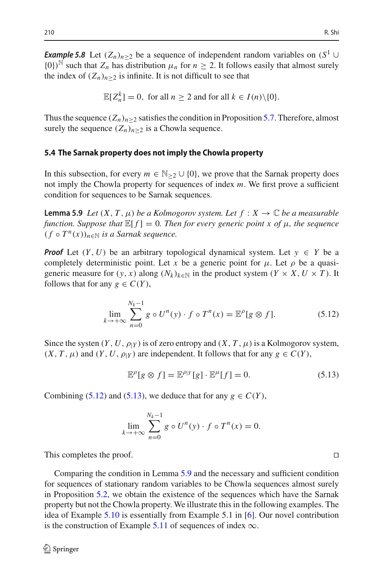*Example 5.8* Let  $(Z_n)_{n>2}$  be a sequence of independent random variables on  $(S^1 \cup$  $\{0\}^{\mathbb{N}}$  such that  $Z_n$  has distribution  $\mu_n$  for  $n \geq 2$ . It follows easily that almost surely the index of  $(Z_n)_{n>2}$  is infinite. It is not difficult to see that

$$
\mathbb{E}[Z_n^k] = 0, \text{ for all } n \ge 2 \text{ and for all } k \in I(n) \setminus \{0\}.
$$

Thus the sequence  $(Z_n)_{n>2}$  satisfies the condition in Proposition [5.7.](#page-16-2) Therefore, almost surely the sequence  $(Z_n)_{n\geq 2}$  is a Chowla sequence.

#### **5.4 The Sarnak property does not imply the Chowla property**

In this subsection, for every  $m \in \mathbb{N}_{\geq 2} \cup \{0\}$ , we prove that the Sarnak property does not imply the Chowla property for sequences of index *m*. We first prove a sufficient condition for sequences to be Sarnak sequences.

<span id="page-17-2"></span>**Lemma 5.9** *Let*  $(X, T, \mu)$  *be a Kolmogorov system. Let*  $f : X \to \mathbb{C}$  *be a measurable function. Suppose that*  $\mathbb{E}[f] = 0$ *. Then for every generic point x of*  $\mu$ *, the sequence*  $(f \circ T^n(x))_{n \in \mathbb{N}}$  *is a Sarnak sequence.* 

*Proof* Let  $(Y, U)$  be an arbitrary topological dynamical system. Let  $y \in Y$  be a completely deterministic point. Let *x* be a generic point for  $\mu$ . Let  $\rho$  be a quasigeneric measure for  $(y, x)$  along  $(N_k)_{k \in \mathbb{N}}$  in the product system  $(Y \times X, U \times T)$ . It follows that for any  $g \in C(Y)$ ,

<span id="page-17-0"></span>
$$
\lim_{k \to +\infty} \sum_{n=0}^{N_k - 1} g \circ U^n(y) \cdot f \circ T^n(x) = \mathbb{E}^{\rho}[g \otimes f]. \tag{5.12}
$$

Since the system  $(Y, U, \rho_Y)$  is of zero entropy and  $(X, T, \mu)$  is a Kolmogorov system,  $(X, T, \mu)$  and  $(Y, U, \rho|Y)$  are independent. It follows that for any  $g \in C(Y)$ ,

<span id="page-17-1"></span>
$$
\mathbb{E}^{\rho}[g \otimes f] = \mathbb{E}^{\rho|Y}[g] \cdot \mathbb{E}^{\mu}[f] = 0. \tag{5.13}
$$

Combining [\(5.12\)](#page-17-0) and [\(5.13\)](#page-17-1), we deduce that for any  $g \in C(Y)$ ,

$$
\lim_{k \to +\infty} \sum_{n=0}^{N_k - 1} g \circ U^n(y) \cdot f \circ T^n(x) = 0.
$$

This completes the proof.

<span id="page-17-3"></span>Comparing the condition in Lemma [5.9](#page-17-2) and the necessary and sufficient condition for sequences of stationary random variables to be Chowla sequences almost surely in Proposition [5.2,](#page-12-3) we obtain the existence of the sequences which have the Sarnak property but not the Chowla property. We illustrate this in the following examples. The idea of Example [5.10](#page-17-3) is essentially from Example 5.1 in [\[6](#page-30-1)]. Our novel contribution is the construction of Example [5.11](#page-18-1) of sequences of index  $\infty$ .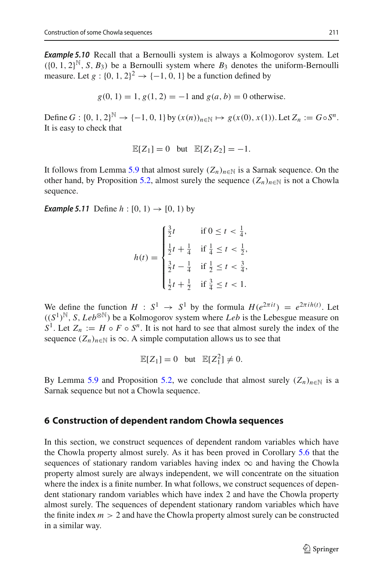*Example 5.10* Recall that a Bernoulli system is always a Kolmogorov system. Let  $( {0, 1, 2}^{\mathbb{N}}, S, B_3)$  be a Bernoulli system where  $B_3$  denotes the uniform-Bernoulli measure. Let  $g : \{0, 1, 2\}^2 \rightarrow \{-1, 0, 1\}$  be a function defined by

 $g(0, 1) = 1$ ,  $g(1, 2) = -1$  and  $g(a, b) = 0$  otherwise.

Define *G* : {0, 1, 2}<sup>N</sup> → {−1, 0, 1} by  $(x(n))_{n \in \mathbb{N}}$  →  $g(x(0), x(1))$ . Let  $Z_n := G \circ S^n$ . It is easy to check that

$$
\mathbb{E}[Z_1] = 0 \quad \text{but} \quad \mathbb{E}[Z_1 Z_2] = -1.
$$

It follows from Lemma [5.9](#page-17-2) that almost surely  $(Z_n)_{n \in \mathbb{N}}$  is a Sarnak sequence. On the other hand, by Proposition [5.2,](#page-12-3) almost surely the sequence  $(Z_n)_{n \in \mathbb{N}}$  is not a Chowla sequence.

<span id="page-18-1"></span>*Example 5.11* Define  $h : [0, 1) \to [0, 1)$  by

$$
h(t) = \begin{cases} \frac{3}{2}t & \text{if } 0 \le t < \frac{1}{4}, \\ \frac{1}{2}t + \frac{1}{4} & \text{if } \frac{1}{4} \le t < \frac{1}{2}, \\ \frac{3}{2}t - \frac{1}{4} & \text{if } \frac{1}{2} \le t < \frac{3}{4}, \\ \frac{1}{2}t + \frac{1}{2} & \text{if } \frac{3}{4} \le t < 1. \end{cases}
$$

We define the function  $H : S^1 \to S^1$  by the formula  $H(e^{2\pi i t}) = e^{2\pi i h(t)}$ . Let  $((S^1)^{\mathbb{N}}, S, Leb^{\otimes \mathbb{N}})$  be a Kolmogorov system where *Leb* is the Lebesgue measure on *S*<sup>1</sup>. Let  $Z_n := H \circ F \circ S^n$ . It is not hard to see that almost surely the index of the sequence  $(Z_n)_{n \in \mathbb{N}}$  is  $\infty$ . A simple computation allows us to see that

$$
\mathbb{E}[Z_1] = 0 \quad \text{but} \quad \mathbb{E}[Z_1^2] \neq 0.
$$

By Lemma [5.9](#page-17-2) and Proposition [5.2,](#page-12-3) we conclude that almost surely  $(Z_n)_{n \in \mathbb{N}}$  is a Sarnak sequence but not a Chowla sequence.

## <span id="page-18-0"></span>**6 Construction of dependent random Chowla sequences**

In this section, we construct sequences of dependent random variables which have the Chowla property almost surely. As it has been proved in Corollary [5.6](#page-15-3) that the sequences of stationary random variables having index  $\infty$  and having the Chowla property almost surely are always independent, we will concentrate on the situation where the index is a finite number. In what follows, we construct sequences of dependent stationary random variables which have index 2 and have the Chowla property almost surely. The sequences of dependent stationary random variables which have the finite index  $m > 2$  and have the Chowla property almost surely can be constructed in a similar way.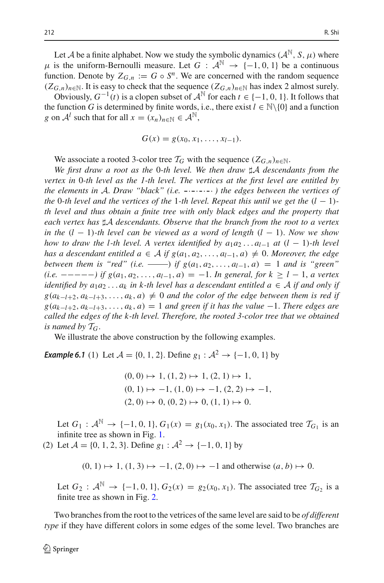Let *A* be a finite alphabet. Now we study the symbolic dynamics  $(A^{\mathbb{N}}, S, \mu)$  where  $\mu$  is the uniform-Bernoulli measure. Let  $G : \mathcal{A}^{\mathbb{N}} \to \{-1, 0, 1\}$  be a continuous function. Denote by  $Z_{G,n} := G \circ S^n$ . We are concerned with the random sequence  $(Z_{G,n})_{n \in \mathbb{N}}$ . It is easy to check that the sequence  $(Z_{G,n})_{n \in \mathbb{N}}$  has index 2 almost surely.

Obviously,  $G^{-1}(t)$  is a clopen subset of  $A^{\mathbb{N}}$  for each  $t \in \{-1, 0, 1\}$ . It follows that the function *G* is determined by finite words, i.e., there exist  $l \in \mathbb{N} \setminus \{0\}$  and a function *g* on  $\mathcal{A}^l$  such that for all  $x = (x_n)_{n \in \mathbb{N}} \in \mathcal{A}^{\mathbb{N}}$ ,

$$
G(x) = g(x_0, x_1, \ldots, x_{l-1}).
$$

We associate a rooted 3-color tree  $\mathcal{T}_G$  with the sequence  $(Z_{G,n})_{n\in\mathbb{N}}$ .

*We first draw a root as the* 0*-th level. We then draw A descendants from the vertex in* 0*-th level as the 1-th level. The vertices at the first level are entitled by the elements in <sup>A</sup>*. *Draw "black" (i.e.* . . . . *) the edges between the vertices of the* 0*-th level and the vertices of the 1-th level. Repeat this until we get the*  $(l - 1)$ *th level and thus obtain a finite tree with only black edges and the property that each vertex has A descendants. Observe that the branch from the root to a vertex in the* (*l* − 1)*-th level can be viewed as a word of length* (*l* − 1). *Now we show how to draw the l-th level. A vertex identified by*  $a_1a_2 \ldots a_{l-1}$  *at*  $(l-1)$ *-th level has a descendant entitled a* ∈ *A if*  $g(a_1, a_2, ..., a_{l-1}, a) ≠ 0$ . *Moreover, the edge between them is "red" (i.e.* ——) *if*  $g(a_1, a_2, ..., a_{l-1}, a) = 1$  *and is "green" (i.e.* −−−−−*) if g*(*a*1, *a*2,..., *al*−1, *a*) = −1. *In general, for k* ≥ *l* − 1, *a vertex identified by*  $a_1a_2 \ldots a_k$  *in k-th level has a descendant entitled*  $a \in A$  *if and only if*  $g(a_{k-l+2}, a_{k-l+3}, \ldots, a_k, a) \neq 0$  *and the color of the edge between them is red if*  $g(a_{k-l+2}, a_{k-l+3}, \ldots, a_k, a) = 1$  *and green if it has the value* −1. *There edges are called the edges of the k-th level. Therefore, the rooted 3-color tree that we obtained is named by*  $T_G$ .

<span id="page-19-0"></span>We illustrate the above construction by the following examples.

*Example 6.1* (1) Let  $A = \{0, 1, 2\}$ . Define  $g_1 : A^2 \rightarrow \{-1, 0, 1\}$  by

$$
(0, 0) \mapsto 1, (1, 2) \mapsto 1, (2, 1) \mapsto 1,
$$
  

$$
(0, 1) \mapsto -1, (1, 0) \mapsto -1, (2, 2) \mapsto -1,
$$
  

$$
(2, 0) \mapsto 0, (0, 2) \mapsto 0, (1, 1) \mapsto 0.
$$

Let *G*<sub>1</sub> :  $A^{\mathbb{N}}$  → {−1, 0, 1}, *G*<sub>1</sub>(*x*) = *g*<sub>1</sub>(*x*<sub>0</sub>, *x*<sub>1</sub>). The associated tree  $\mathcal{T}_{G_1}$  is an infinite tree as shown in Fig. [1.](#page-20-0)

(2) Let  $A = \{0, 1, 2, 3\}$ . Define  $g_1 : A^2 \rightarrow \{-1, 0, 1\}$  by

 $(0, 1)$   $\mapsto$  1,  $(1, 3)$   $\mapsto$  −1,  $(2, 0)$   $\mapsto$  −1 and otherwise  $(a, b)$   $\mapsto$  0.

Let *G*<sub>2</sub> :  $A^N$  → {−1, 0, 1}, *G*<sub>2</sub>(*x*) = *g*<sub>2</sub>(*x*<sub>0</sub>, *x*<sub>1</sub>). The associated tree  $T_G$ <sub>2</sub> is a finite tree as shown in Fig. [2.](#page-20-1)

Two branches from the root to the vetrices of the same level are said to be *of different type* if they have different colors in some edges of the some level. Two branches are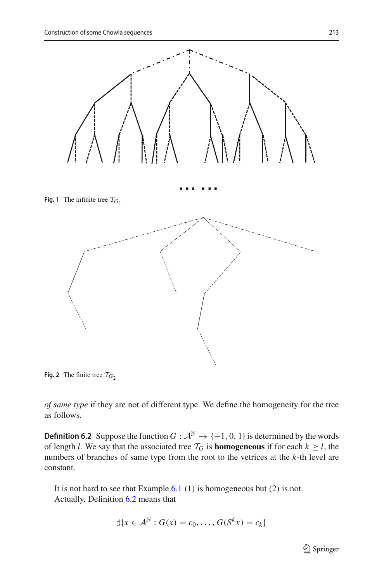<span id="page-20-0"></span>

<span id="page-20-1"></span>**Fig. 2** The finite tree  $\mathcal{T}_{G2}$ 

<span id="page-20-2"></span>*of same type* if they are not of different type. We define the homogeneity for the tree as follows.

**Definition 6.2** Suppose the function *G* :  $A^{\mathbb{N}} \rightarrow \{-1, 0, 1\}$  is determined by the words of length *l*. We say that the associated tree  $T_G$  is **homogeneous** if for each  $k \ge l$ , the numbers of branches of same type from the root to the vetrices at the *k*-th level are constant.

It is not hard to see that Example  $6.1$  (1) is homogeneous but (2) is not. Actually, Definition [6.2](#page-20-2) means that

$$
\sharp\{x\in\mathcal{A}^{\mathbb{N}}:G(x)=c_0,\ldots,G(S^kx)=c_k\}
$$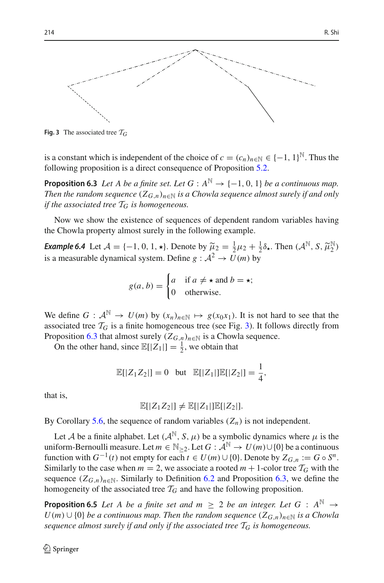

<span id="page-21-0"></span>**Fig. 3** The associated tree  $T_G$ 

<span id="page-21-1"></span>is a constant which is independent of the choice of  $c = (c_n)_{n \in \mathbb{N}} \in \{-1, 1\}^{\mathbb{N}}$ . Thus the following proposition is a direct consequence of Proposition [5.2.](#page-12-3)

**Proposition 6.3** *Let A be a finite set. Let G* :  $A^{\mathbb{N}} \rightarrow \{-1, 0, 1\}$  *be a continuous map. Then the random sequence*  $(Z_{G,n})_{n\in\mathbb{N}}$  *is a Chowla sequence almost surely if and only if the associated tree*  $T_G$  *is homogeneous.* 

Now we show the existence of sequences of dependent random variables having the Chowla property almost surely in the following example.

*Example 6.4* Let  $\mathcal{A} = \{-1, 0, 1, \star\}$ . Denote by  $\widetilde{\mu}_2 = \frac{1}{2}\mu_2 + \frac{1}{2}\delta_\star$ . Then  $(\mathcal{A}^{\mathbb{N}}, S, \widetilde{\mu}_2^{\mathbb{N}})$ is a measurable dynamical system. Define  $g : A^2 \to U(m)$  by

$$
g(a, b) = \begin{cases} a & \text{if } a \neq \star \text{ and } b = \star; \\ 0 & \text{otherwise.} \end{cases}
$$

We define  $G : \mathcal{A}^{\mathbb{N}} \to U(m)$  by  $(x_n)_{n \in \mathbb{N}} \mapsto g(x_0x_1)$ . It is not hard to see that the associated tree  $\mathcal{T}_G$  is a finite homogeneous tree (see Fig. [3\)](#page-21-0). It follows directly from Proposition [6.3](#page-21-1) that almost surely  $(Z_{G,n})_{n \in \mathbb{N}}$  is a Chowla sequence.

On the other hand, since  $\mathbb{E}[|Z_1|] = \frac{1}{2}$ , we obtain that

$$
\mathbb{E}[|Z_1 Z_2|] = 0 \text{ but } \mathbb{E}[|Z_1|] \mathbb{E}[|Z_2|] = \frac{1}{4},
$$

that is,

$$
\mathbb{E}[|Z_1Z_2|] \neq \mathbb{E}[|Z_1|]\mathbb{E}[|Z_2|].
$$

By Corollary [5.6,](#page-15-3) the sequence of random variables  $(Z_n)$  is not independent.

Let *A* be a finite alphabet. Let  $(A^{\mathbb{N}}, S, \mu)$  be a symbolic dynamics where  $\mu$  is the uniform-Bernoulli measure. Let  $m \in \mathbb{N}_{>2}$ . Let  $G : \mathcal{A}^{\mathbb{N}} \to U(m) \cup \{0\}$  be a continuous function with  $G^{-1}(t)$  not empty for each  $t \in U(m) \cup \{0\}$ . Denote by  $Z_{G,n} := G \circ S^n$ . Similarly to the case when  $m = 2$ , we associate a rooted  $m + 1$ -color tree  $\mathcal{T}_G$  with the sequence  $(Z_{G,n})_{n\in\mathbb{N}}$ . Similarly to Definition [6.2](#page-20-2) and Proposition [6.3,](#page-21-1) we define the homogeneity of the associated tree  $T_G$  and have the following proposition.

<span id="page-21-2"></span>**Proposition 6.5** *Let A be a finite set and m*  $\geq$  2 *be an integer. Let G* :  $A^{\mathbb{N}} \rightarrow$ *U*(*m*) ∪ {0} *be a continuous map. Then the random sequence*  $(Z_{G,n})_{n\in\mathbb{N}}$  *is a Chowla sequence almost surely if and only if the associated tree T<sup>G</sup> is homogeneous.*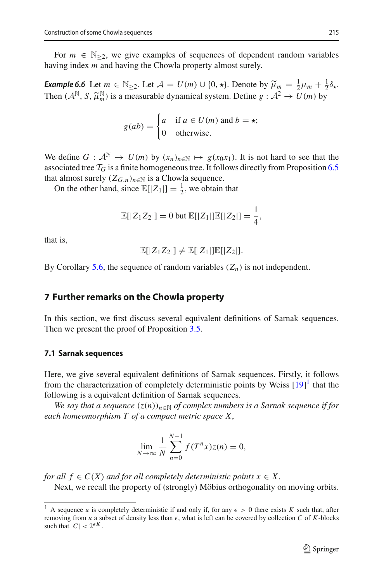For  $m \in \mathbb{N}_{\geq 2}$ , we give examples of sequences of dependent random variables having index *m* and having the Chowla property almost surely.

*Example 6.6* Let  $m \in \mathbb{N}_{\geq 2}$ . Let  $\mathcal{A} = U(m) \cup \{0, \star\}$ . Denote by  $\widetilde{\mu}_m = \frac{1}{2}\mu_m + \frac{1}{2}\delta_{\star}$ .<br>Then  $(A^{\mathbb{N}} \times \widetilde{\kappa}^{\mathbb{N}})$  is a measurable dynamical system. Define  $\alpha : A^2 \to U(m)$  by Then  $(A^{\mathbb{N}}, S, \widetilde{\mu}_m^{\mathbb{N}})$  is a measurable dynamical system. Define  $g : A^2 \to U(m)$  by

$$
g(ab) = \begin{cases} a & \text{if } a \in U(m) \text{ and } b = \star; \\ 0 & \text{otherwise.} \end{cases}
$$

We define  $G : \mathcal{A}^{\mathbb{N}} \to U(m)$  by  $(x_n)_{n \in \mathbb{N}} \mapsto g(x_0x_1)$ . It is not hard to see that the associated tree  $T_G$  is a finite homogeneous tree. It follows directly from Proposition [6.5](#page-21-2) that almost surely  $(Z_{G,n})_{n \in \mathbb{N}}$  is a Chowla sequence.

On the other hand, since  $\mathbb{E}[|Z_1|] = \frac{1}{2}$ , we obtain that

$$
\mathbb{E}[|Z_1 Z_2|] = 0 \text{ but } \mathbb{E}[|Z_1|] \mathbb{E}[|Z_2|] = \frac{1}{4},
$$

that is,

$$
\mathbb{E}[|Z_1Z_2|] \neq \mathbb{E}[|Z_1|]\mathbb{E}[|Z_2|].
$$

By Corollary [5.6,](#page-15-3) the sequence of random variables  $(Z_n)$  is not independent.

# <span id="page-22-0"></span>**7 Further remarks on the Chowla property**

In this section, we first discuss several equivalent definitions of Sarnak sequences. Then we present the proof of Proposition [3.5.](#page-6-0)

#### **7.1 Sarnak sequences**

Here, we give several equivalent definitions of Sarnak sequences. Firstly, it follows from the characterization of completely deterministic points by Weiss  $[19]$ <sup>[1](#page-22-1)</sup> that the following is a equivalent definition of Sarnak sequences.

*We say that a sequence*  $(z(n))_{n\in\mathbb{N}}$  *of complex numbers is a Sarnak sequence if for each homeomorphism T of a compact metric space X*,

$$
\lim_{N \to \infty} \frac{1}{N} \sum_{n=0}^{N-1} f(T^n x) z(n) = 0,
$$

*for all*  $f \in C(X)$  *and for all completely deterministic points*  $x \in X$ . Next, we recall the property of (strongly) Möbius orthogonality on moving orbits.

<span id="page-22-1"></span><sup>&</sup>lt;sup>1</sup> A sequence *u* is completely deterministic if and only if, for any  $\epsilon > 0$  there exists *K* such that, after removing from  $u$  a subset of density less than  $\epsilon$ , what is left can be covered by collection  $C$  of  $K$ -blocks such that  $|C| < 2^{\\\epsilon K}$ .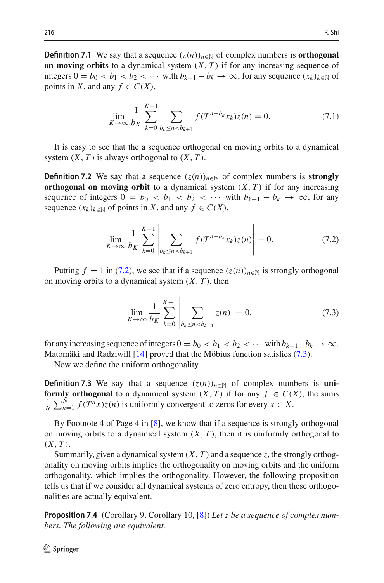**Definition 7.1** We say that a sequence  $(z(n))_{n \in \mathbb{N}}$  of complex numbers is **orthogonal on moving orbits** to a dynamical system  $(X, T)$  if for any increasing sequence of integers  $0 = b_0 < b_1 < b_2 < \cdots$  with  $b_{k+1} - b_k \to \infty$ , for any sequence  $(x_k)_{k \in \mathbb{N}}$  of points in *X*, and any  $f \in C(X)$ ,

$$
\lim_{K \to \infty} \frac{1}{b_K} \sum_{k=0}^{K-1} \sum_{b_k \le n < b_{k+1}} f(T^{n-b_k} x_k) z(n) = 0. \tag{7.1}
$$

It is easy to see that the a sequence orthogonal on moving orbits to a dynamical system  $(X, T)$  is always orthogonal to  $(X, T)$ .

**Definition 7.2** We say that a sequence  $(z(n))_{n \in \mathbb{N}}$  of complex numbers is **strongly orthogonal on moving orbit** to a dynamical system  $(X, T)$  if for any increasing sequence of integers  $0 = b_0 < b_1 < b_2 < \cdots$  with  $b_{k+1} - b_k \rightarrow \infty$ , for any sequence  $(x_k)_{k \in \mathbb{N}}$  of points in *X*, and any  $f \in C(X)$ ,

<span id="page-23-1"></span>
$$
\lim_{K \to \infty} \frac{1}{b_K} \sum_{k=0}^{K-1} \left| \sum_{b_k \le n < b_{k+1}} f(T^{n-b_k} x_k) z(n) \right| = 0. \tag{7.2}
$$

Putting  $f = 1$  in [\(7.2\)](#page-23-1), we see that if a sequence  $(z(n))_{n \in \mathbb{N}}$  is strongly orthogonal on moving orbits to a dynamical system (*X*, *T* ), then

<span id="page-23-2"></span>
$$
\lim_{K \to \infty} \frac{1}{b_K} \sum_{k=0}^{K-1} \left| \sum_{b_k \le n < b_{k+1}} z(n) \right| = 0,\tag{7.3}
$$

for any increasing sequence of integers  $0 = b_0 < b_1 < b_2 < \cdots$  with  $b_{k+1}-b_k \to \infty$ . Matomäki and Radziwiłł [\[14\]](#page-31-10) proved that the Möbius function satisfies [\(7.3\)](#page-23-2).

Now we define the uniform orthogonality.

**Definition 7.3** We say that a sequence  $(z(n))_{n \in \mathbb{N}}$  of complex numbers is **uniformly orthogonal** to a dynamical system  $(X, T)$  if for any  $f \in C(X)$ , the sums  $\frac{1}{N} \sum_{n=1}^{N} f(T^n x) z(n)$  is uniformly convergent to zeros for every  $x \in X$ .

By Footnote 4 of Page 4 in [\[8\]](#page-31-11), we know that if a sequence is strongly orthogonal on moving orbits to a dynamical system  $(X, T)$ , then it is uniformly orthogonal to  $(X, T)$ .

Summarily, given a dynamical system  $(X, T)$  and a sequence  $z$ , the strongly orthogonality on moving orbits implies the orthogonality on moving orbits and the uniform orthogonality, which implies the orthogonality. However, the following proposition tells us that if we consider all dynamical systems of zero entropy, then these orthogonalities are actually equivalent.

<span id="page-23-0"></span>**Proposition 7.4** (Corollary 9, Corollary 10, [\[8\]](#page-31-11)) *Let z be a sequence of complex numbers. The following are equivalent.*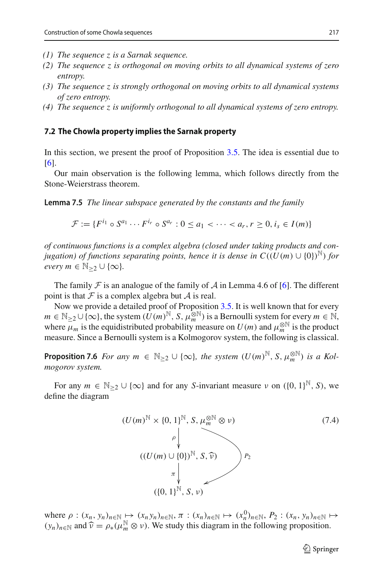- *(1) The sequence z is a Sarnak sequence.*
- *(2) The sequence z is orthogonal on moving orbits to all dynamical systems of zero entropy.*
- *(3) The sequence z is strongly orthogonal on moving orbits to all dynamical systems of zero entropy.*
- *(4) The sequence z is uniformly orthogonal to all dynamical systems of zero entropy.*

#### <span id="page-24-0"></span>**7.2 The Chowla property implies the Sarnak property**

In this section, we present the proof of Proposition [3.5.](#page-6-0) The idea is essential due to [\[6](#page-30-1)].

<span id="page-24-4"></span>Our main observation is the following lemma, which follows directly from the Stone-Weierstrass theorem.

**Lemma 7.5** *The linear subspace generated by the constants and the family*

$$
\mathcal{F} := \{ F^{i_1} \circ S^{a_1} \cdots F^{i_r} \circ S^{a_r} : 0 \le a_1 < \cdots < a_r, r \ge 0, i_s \in I(m) \}
$$

*of continuous functions is a complex algebra (closed under taking products and conjugation) of functions separating points, hence it is dense in*  $C((U(m) \cup \{0\})^{\mathbb{N}})$  *for every*  $m \in \mathbb{N}_{\geq 2} \cup \{\infty\}.$ 

The family  $\mathcal F$  is an analogue of the family of  $\mathcal A$  in Lemma 4.6 of [\[6](#page-30-1)]. The different point is that  $\mathcal F$  is a complex algebra but  $\mathcal A$  is real.

Now we provide a detailed proof of Proposition [3.5.](#page-6-0) It is well known that for every  $m \in \mathbb{N}_{\geq 2} \cup \{\infty\}$ , the system  $(\hat{U}(m)^{\mathbb{N}}, S, \hat{\mu}_m^{\otimes \mathbb{N}})$  is a Bernoulli system for every  $m \in \mathbb{N}$ , where  $\mu_m$  is the equidistributed probability measure on  $U(m)$  and  $\mu_m^{\otimes N}$  is the product measure. Since a Bernoulli system is a Kolmogorov system, the following is classical.

<span id="page-24-2"></span>**Proposition 7.6** *For any*  $m \in \mathbb{N}_{\geq 2} \cup \{\infty\}$ , the system  $(U(m)^{\mathbb{N}}, S, \mu_m^{\otimes \mathbb{N}})$  *is a Kolmogorov system.*

For any  $m \in \mathbb{N}_{\geq 2} \cup \{\infty\}$  and for any *S*-invariant measure  $\nu$  on  $(\{0, 1\}^{\mathbb{N}}, S)$ , we define the diagram

<span id="page-24-1"></span>
$$
(U(m)^{\mathbb{N}} \times \{0, 1\}^{\mathbb{N}}, S, \mu_m^{\otimes \mathbb{N}} \otimes \nu)
$$
\n
$$
(\mu_m^{\mathbb{N}} \times \{0, 1\}^{\mathbb{N}}, S, \widehat{\nu})
$$
\n
$$
\pi \downarrow
$$
\n
$$
(\{0, 1\}^{\mathbb{N}}, S, \nu)
$$
\n
$$
(1.4)
$$
\n
$$
(1.4)
$$

<span id="page-24-3"></span>where  $\rho: (x_n, y_n)_{n \in \mathbb{N}} \mapsto (x_n y_n)_{n \in \mathbb{N}}, \pi: (x_n)_{n \in \mathbb{N}} \mapsto (x_n^0)_{n \in \mathbb{N}}, P_2: (x_n, y_n)_{n \in \mathbb{N}} \mapsto$  $(y_n)_{n \in \mathbb{N}}$  and  $\widehat{\nu} = \rho_*(\mu_m^{\mathbb{N}} \otimes \nu)$ . We study this diagram in the following proposition.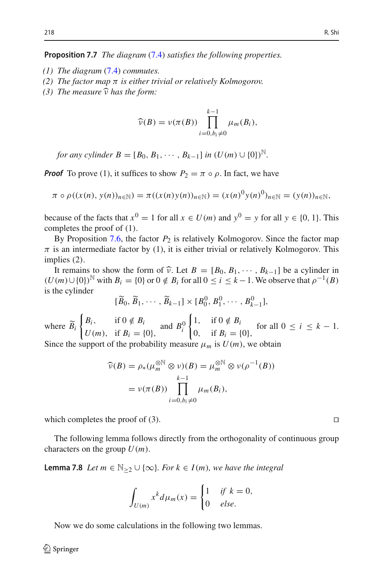**Proposition 7.7** *The diagram* [\(7.4\)](#page-24-1) *satisfies the following properties.*

- *(1) The diagram* [\(7.4\)](#page-24-1) *commutes.*
- *(2) The factor map* π *is either trivial or relatively Kolmogorov.*
- $(3)$  *The measure*  $\hat{v}$  *has the form:*

$$
\widehat{\nu}(B) = \nu(\pi(B)) \prod_{i=0,b_i\neq 0}^{k-1} \mu_m(B_i),
$$

*for any cylinder*  $B = [B_0, B_1, \cdots, B_{k-1}]$  *in*  $(U(m) \cup \{0\})^{\mathbb{N}}$ .

*Proof* To prove (1), it suffices to show  $P_2 = \pi \circ \rho$ . In fact, we have

$$
\pi \circ \rho((x(n), y(n))_{n \in \mathbb{N}}) = \pi((x(n)y(n))_{n \in \mathbb{N}}) = (x(n)^{0}y(n)^{0})_{n \in \mathbb{N}} = (y(n))_{n \in \mathbb{N}},
$$

because of the facts that  $x^0 = 1$  for all  $x \in U(m)$  and  $y^0 = y$  for all  $y \in \{0, 1\}$ . This completes the proof of (1).

By Proposition  $7.6$ , the factor  $P_2$  is relatively Kolmogorov. Since the factor map  $\pi$  is an intermediate factor by (1), it is either trivial or relatively Kolmogorov. This implies (2).

It remains to show the form of  $\hat{\nu}$ . Let  $B = [B_0, B_1, \dots, B_{k-1}]$  be a cylinder in  $(U(m) \cup \{0\})^N$  with  $B_i = \{0\}$  or  $0 \notin B_i$  for all  $0 \le i \le k-1$ . We observe that  $\rho^{-1}(B)$ is the cylinder

$$
[\widetilde{B}_0, \widetilde{B}_1, \cdots, \widetilde{B}_{k-1}] \times [B_0^0, B_1^0, \cdots, B_{k-1}^0],
$$

where *Bi*  $\begin{cases} B_i, & \text{if } 0 \notin B_i \\ U(m), & \text{if } B_i = \{0\}, \end{cases}$  and *B*<sup>0</sup><sub>*i*</sub>  $\begin{cases} 1, & \text{if } 0 \notin B_i \\ 0, & \text{if } B_i = \{0\}, \end{cases}$  for all  $0 \le i \le k - 1$ . Since the support of the probability measure  $\mu_m$  is  $U(m)$ , we obtain

$$
\widehat{\nu}(B) = \rho_*(\mu_m^{\otimes N} \otimes \nu)(B) = \mu_m^{\otimes N} \otimes \nu(\rho^{-1}(B))
$$

$$
= \nu(\pi(B)) \prod_{i=0, b_i \neq 0}^{k-1} \mu_m(B_i),
$$

which completes the proof of (3).  $\Box$ 

<span id="page-25-0"></span>The following lemma follows directly from the orthogonality of continuous group characters on the group  $U(m)$ .

**Lemma 7.8** *Let*  $m \in \mathbb{N}_{\geq 2} \cup \{\infty\}$ *. For*  $k \in I(m)$ *, we have the integral* 

$$
\int_{U(m)} x^k d\mu_m(x) = \begin{cases} 1 & \text{if } k = 0, \\ 0 & \text{else.} \end{cases}
$$

<span id="page-25-1"></span>Now we do some calculations in the following two lemmas.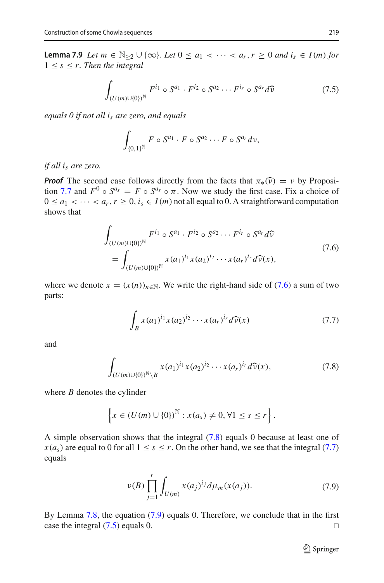**Lemma 7.9** *Let m* ∈  $\mathbb{N}_{>2}$  ∪ {∞}*. Let*  $0 \le a_1 < \cdots < a_r, r \ge 0$  *and*  $i_s \in I(m)$  *for*  $1 \leq s \leq r$ . Then the integral

<span id="page-26-4"></span>
$$
\int_{(U(m)\cup\{0\})^{\mathbb{N}}} F^{i_1} \circ S^{a_1} \cdot F^{i_2} \circ S^{a_2} \cdots F^{i_r} \circ S^{a_r} d\widehat{\nu}
$$
\n
$$
(7.5)
$$

*equals 0 if not all is are zero, and equals*

$$
\int_{\{0,1\}^{\mathbb{N}}} F \circ S^{a_1} \cdot F \circ S^{a_2} \cdots F \circ S^{a_r} d\nu,
$$

*if all is are zero.*

*Proof* The second case follows directly from the facts that  $\pi_*(\widehat{v}) = v$  by Proposi-tion [7.7](#page-24-3) and  $F^0 \circ S^{a_s} = F \circ S^{a_s} \circ \pi$ . Now we study the first case. Fix a choice of  $0 \le a_1 < \cdots < a_r, r \ge 0, i_s \in I(m)$  not all equal to 0. A straightforward computation shows that

<span id="page-26-0"></span>
$$
\int_{(U(m)\cup\{0\})^{\mathbb{N}}} F^{i_1} \circ S^{a_1} \cdot F^{i_2} \circ S^{a_2} \cdots F^{i_r} \circ S^{a_r} d\widehat{\nu}
$$
\n
$$
= \int_{(U(m)\cup\{0\})^{\mathbb{N}}} x(a_1)^{i_1} x(a_2)^{i_2} \cdots x(a_r)^{i_r} d\widehat{\nu}(x),
$$
\n(7.6)

where we denote  $x = (x(n))_{n \in \mathbb{N}}$ . We write the right-hand side of [\(7.6\)](#page-26-0) a sum of two parts:

<span id="page-26-2"></span>
$$
\int_{B} x(a_1)^{i_1} x(a_2)^{i_2} \cdots x(a_r)^{i_r} d\widehat{\nu}(x) \tag{7.7}
$$

and

<span id="page-26-1"></span>
$$
\int_{(U(m)\cup\{0\})^{\mathbb{N}}\setminus B} x(a_1)^{i_1} x(a_2)^{i_2} \cdots x(a_r)^{i_r} d\widehat{\nu}(x),\tag{7.8}
$$

where *B* denotes the cylinder

$$
\left\{x \in (U(m) \cup \{0\})^{\mathbb{N}} : x(a_s) \neq 0, \forall 1 \leq s \leq r\right\}.
$$

A simple observation shows that the integral [\(7.8\)](#page-26-1) equals 0 because at least one of  $x(a_s)$  are equal to 0 for all  $1 \leq s \leq r$ . On the other hand, we see that the integral [\(7.7\)](#page-26-2) equals

<span id="page-26-3"></span>
$$
\nu(B) \prod_{j=1}^{r} \int_{U(m)} x(a_j)^{i_j} d\mu_m(x(a_j)). \tag{7.9}
$$

By Lemma [7.8,](#page-25-0) the equation [\(7.9\)](#page-26-3) equals 0. Therefore, we conclude that in the first case the integral  $(7.5)$  equals 0.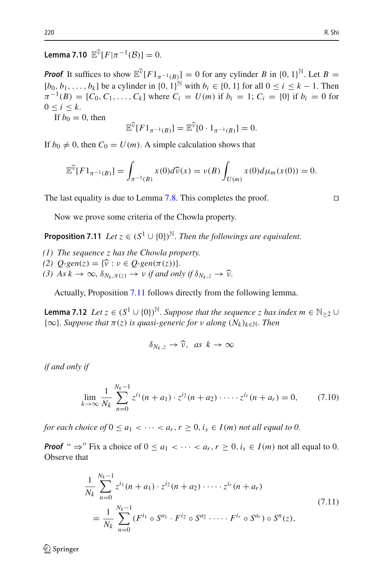<span id="page-27-3"></span>**Lemma 7.10**  $\mathbb{E}^{\widehat{v}}[F|\pi^{-1}(\mathcal{B})] = 0.$ 

*Proof* It suffices to show  $\mathbb{E}^{\hat{v}}[F1_{\pi^{-1}(B)}] = 0$  for any cylinder *B* in  $\{0, 1\}^{\mathbb{N}}$ . Let *B* =  $[b_0, b_1, \ldots, b_k]$  be a cylinder in  $\{0, 1\}^{\mathbb{N}}$  with  $b_i \in \{0, 1\}$  for all  $0 \le i \le k - 1$ . Then  $\pi^{-1}(B) = [C_0, C_1, \ldots, C_k]$  where  $C_i = U(m)$  if  $b_i = 1$ ;  $C_i = \{0\}$  if  $b_i = 0$  for  $0 < i < k$ .

If  $b_0 = 0$ , then

$$
\mathbb{E}^{\widehat{\nu}}[F1_{\pi^{-1}(B)}] = \mathbb{E}^{\widehat{\nu}}[0 \cdot 1_{\pi^{-1}(B)}] = 0.
$$

If  $b_0 \neq 0$ , then  $C_0 = U(m)$ . A simple calculation shows that

$$
\mathbb{E}^{\widehat{\nu}}[F1_{\pi^{-1}(B)}] = \int_{\pi^{-1}(B)} x(0) d\widehat{\nu}(x) = \nu(B) \int_{U(m)} x(0) d\mu_m(x(0)) = 0.
$$

The last equality is due to Lemma [7.8.](#page-25-0) This completes the proof.  $\square$ 

<span id="page-27-0"></span>Now we prove some criteria of the Chowla property.

**Proposition 7.11** *Let*  $z \in (S^1 \cup \{0\})^{\mathbb{N}}$ *. Then the followings are equivalent.* 

*(1) The sequence z has the Chowla property.*

*(2)*  $Q\text{-}gen(z) = {\hat{v}: v \in Q\text{-}gen(\pi(z))}.$ 

*(3)*  $As \, k \to \infty$ ,  $\delta_{N_k, \pi(z)} \to \nu$  *if and only if*  $\delta_{N_k, z} \to \hat{\nu}$ .

Actually, Proposition [7.11](#page-27-0) follows directly from the following lemma.

**Lemma 7.12** *Let*  $z \in (S^1 \cup \{0\})^{\mathbb{N}}$ *. Suppose that the sequence* z *has index*  $m \in \mathbb{N}_{\geq 2} \cup$  ${\infty}$ *. Suppose that*  $\pi(z)$  *is quasi-generic for*  $\nu$  *along*  $(N_k)_{k \in \mathbb{N}}$ *. Then* 

$$
\delta_{N_k,z}\to\widehat{\nu},\ \ as\ \ k\to\infty
$$

*if and only if*

<span id="page-27-2"></span>
$$
\lim_{k \to \infty} \frac{1}{N_k} \sum_{n=0}^{N_k - 1} z^{i_1} (n + a_1) \cdot z^{i_2} (n + a_2) \cdot \dots \cdot z^{i_r} (n + a_r) = 0, \quad (7.10)
$$

*for each choice of*  $0 \le a_1 < \cdots < a_r$ ,  $r \ge 0$ ,  $i_s \in I(m)$  *not all equal to 0.* 

*Proof* "  $\Rightarrow$ " Fix a choice of  $0 \le a_1 < \cdots < a_r$ ,  $r \ge 0$ ,  $i_s \in I(m)$  not all equal to 0. Observe that

<span id="page-27-1"></span>
$$
\frac{1}{N_k} \sum_{n=0}^{N_k - 1} z^{i_1} (n + a_1) \cdot z^{i_2} (n + a_2) \cdot \dots \cdot z^{i_r} (n + a_r)
$$
\n
$$
= \frac{1}{N_k} \sum_{n=0}^{N_k - 1} (F^{i_1} \circ S^{a_1} \cdot F^{i_2} \circ S^{a_2} \cdot \dots \cdot F^{i_r} \circ S^{a_r}) \circ S^n(z),
$$
\n(7.11)

 $\mathcal{L}$  Springer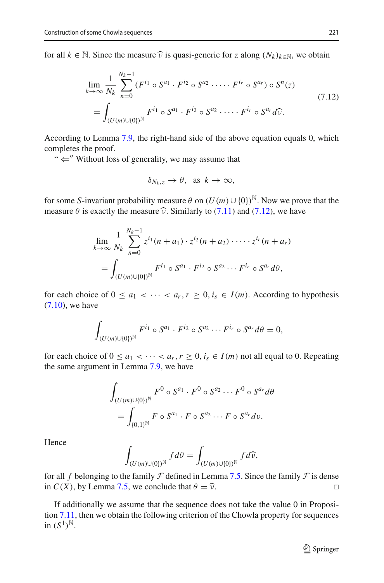for all  $k \in \mathbb{N}$ . Since the measure  $\hat{v}$  is quasi-generic for *z* along  $(N_k)_{k \in \mathbb{N}}$ , we obtain

<span id="page-28-0"></span>
$$
\lim_{k \to \infty} \frac{1}{N_k} \sum_{n=0}^{N_k - 1} (F^{i_1} \circ S^{a_1} \cdot F^{i_2} \circ S^{a_2} \cdot \dots \cdot F^{i_r} \circ S^{a_r}) \circ S^n(z)
$$
\n
$$
= \int_{(U(m) \cup \{0\})^{\mathbb{N}}} F^{i_1} \circ S^{a_1} \cdot F^{i_2} \circ S^{a_2} \cdot \dots \cdot F^{i_r} \circ S^{a_r} d\widehat{\nu}.
$$
\n(7.12)

According to Lemma [7.9,](#page-25-1) the right-hand side of the above equation equals 0, which completes the proof.

"  $\Leftarrow$ " Without loss of generality, we may assume that

$$
\delta_{N_k,z}\to\theta,\ \ \text{as}\ \ k\to\infty,
$$

for some *S*-invariant probability measure  $\theta$  on  $(U(m) \cup \{0\})^{\mathbb{N}}$ . Now we prove that the measure  $\theta$  is exactly the measure  $\hat{v}$ . Similarly to [\(7.11\)](#page-27-1) and [\(7.12\)](#page-28-0), we have

$$
\lim_{k \to \infty} \frac{1}{N_k} \sum_{n=0}^{N_k - 1} z^{i_1} (n + a_1) \cdot z^{i_2} (n + a_2) \cdot \dots \cdot z^{i_r} (n + a_r)
$$
  
= 
$$
\int_{(U(m) \cup \{0\})^{\mathbb{N}}} F^{i_1} \circ S^{a_1} \cdot F^{i_2} \circ S^{a_2} \cdots F^{i_r} \circ S^{a_r} d\theta,
$$

for each choice of  $0 \le a_1 < \cdots < a_r, r \ge 0, i_s \in I(m)$ . According to hypothesis [\(7.10\)](#page-27-2), we have

$$
\int_{(U(m)\cup\{0\})^{\mathbb{N}}} F^{i_1} \circ S^{a_1} \cdot F^{i_2} \circ S^{a_2} \cdots F^{i_r} \circ S^{a_r} d\theta = 0,
$$

for each choice of  $0 \le a_1 < \cdots < a_r$ ,  $r \ge 0$ ,  $i_s \in I(m)$  not all equal to 0. Repeating the same argument in Lemma [7.9,](#page-25-1) we have

$$
\int_{(U(m)\cup\{0\})^{\mathbb{N}}} F^0 \circ S^{a_1} \cdot F^0 \circ S^{a_2} \cdots F^0 \circ S^{a_r} d\theta
$$
  
= 
$$
\int_{\{0,1\}^{\mathbb{N}}} F \circ S^{a_1} \cdot F \circ S^{a_2} \cdots F \circ S^{a_r} d\nu.
$$

Hence

$$
\int_{(U(m)\cup\{0\})^{\mathbb{N}}} f d\theta = \int_{(U(m)\cup\{0\})^{\mathbb{N}}} f d\widehat{\nu},
$$

for all *f* belonging to the family *F* defined in Lemma [7.5.](#page-24-4) Since the family *F* is dense in  $C(X)$ , by Lemma 7.5, we conclude that  $\theta = \hat{v}$ . in *C*(*X*), by Lemma [7.5,](#page-24-4) we conclude that  $\theta = \hat{\nu}$ .

If additionally we assume that the sequence does not take the value 0 in Proposition [7.11,](#page-27-0) then we obtain the following criterion of the Chowla property for sequences in  $(S^1)^{\mathbb{N}}$ .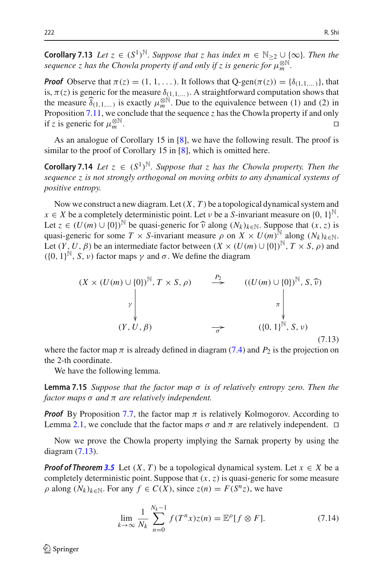**Corollary 7.13** *Let*  $z \in (S^1)^{\mathbb{N}}$ *. Suppose that*  $z$  *has index*  $m \in \mathbb{N}_{\geq 2} \cup \{\infty\}$ *. Then the sequence z has the Chowla property if and only if z is generic for*  $\mu_m^{\otimes N}$ .

*Proof* Observe that  $\pi(z) = (1, 1, \ldots)$ . It follows that  $Q$ -gen( $\pi(z)$ ) = { $\delta_{(1,1,\ldots)}$ }, that is,  $\pi(z)$  is generic for the measure  $\delta_{(1,1,\ldots)}$ . A straightforward computation shows that the measure  $\hat{\delta}_{(1,1,...)}$  is exactly  $\mu_m^{\otimes N}$ . Due to the equivalence between (1) and (2) in<br>**Proposition** 7.11 we conclude that the sequence z healthe Chevyle proporty if and only Proposition [7.11,](#page-27-0) we conclude that the sequence *z* has the Chowla property if and only if *z* is generic for  $\mu_m^{\otimes \mathbb{N}}$ .  $\Box$ <br>*m* .

<span id="page-29-0"></span>As an analogue of Corollary 15 in [\[8\]](#page-31-11), we have the following result. The proof is similar to the proof of Corollary 15 in [\[8](#page-31-11)], which is omitted here.

**Corollary 7.14** *Let*  $z \in (S^1)^{\mathbb{N}}$ *. Suppose that*  $z$  *has the Chowla property. Then the sequence z is not strongly orthogonal on moving orbits to any dynamical systems of positive entropy.*

Now we construct a new diagram. Let  $(X, T)$  be a topological dynamical system and  $x \in X$  be a completely deterministic point. Let  $\nu$  be a *S*-invariant measure on  $\{0, 1\}^{\mathbb{N}}$ . Let *z* ∈ (*U*(*m*) ∪ {0})<sup>N</sup> be quasi-generic for  $\hat{v}$  along ( $N_k$ )<sub> $k \in N$ </sub>. Suppose that (*x*, *z*) is quasi-generic for some  $T \times S$ -invariant measure  $\rho$  on  $X \times U(m)^N$  along  $(N_k)_{k \in \mathbb{N}}$ . Let  $(Y, U, \beta)$  be an intermediate factor between  $(X \times (U(m) \cup \{0\})^{\mathbb{N}}, T \times S, \rho)$  and  $(\{0, 1\}^{\mathbb{N}}, S, \nu)$  factor maps  $\gamma$  and  $\sigma$ . We define the diagram

<span id="page-29-1"></span>
$$
(X \times (U(m) \cup \{0\})^{\mathbb{N}}, T \times S, \rho) \xrightarrow{\begin{array}{c} P_2 \\ \longrightarrow \\ \longrightarrow \\ \uparrow \end{array}} ((U(m) \cup \{0\})^{\mathbb{N}}, S, \widehat{\nu})
$$
  

$$
(Y, U, \beta) \xrightarrow{\begin{array}{c} \longrightarrow \\ \longrightarrow \\ \longrightarrow \\ \uparrow \end{array}} ((0, 1)^{\mathbb{N}}, S, \nu)
$$
  
(7.13)

where the factor map  $\pi$  is already defined in diagram [\(7.4\)](#page-24-1) and  $P_2$  is the projection on the 2-th coordinate.

<span id="page-29-2"></span>We have the following lemma.

**Lemma 7.15** *Suppose that the factor map* σ *is of relatively entropy zero. Then the factor maps* σ *and* π *are relatively independent.*

*Proof* By Proposition [7.7,](#page-24-3) the factor map  $\pi$  is relatively Kolmogorov. According to Lemma [2.1,](#page-4-1) we conclude that the factor maps  $\sigma$  and  $\pi$  are relatively independent.  $\Box$ 

Now we prove the Chowla property implying the Sarnak property by using the diagram [\(7.13\)](#page-29-1).

*Proof of Theorem [3.5](#page-6-0)* Let  $(X, T)$  be a topological dynamical system. Let  $x \in X$  be a completely deterministic point. Suppose that (*x*,*z*) is quasi-generic for some measure  $\rho$  along  $(N_k)_{k \in \mathbb{N}}$ . For any  $f \in C(X)$ , since  $z(n) = F(S^n z)$ , we have

<span id="page-29-3"></span>
$$
\lim_{k \to \infty} \frac{1}{N_k} \sum_{n=0}^{N_k - 1} f(T^n x) z(n) = \mathbb{E}^{\rho} [f \otimes F]. \tag{7.14}
$$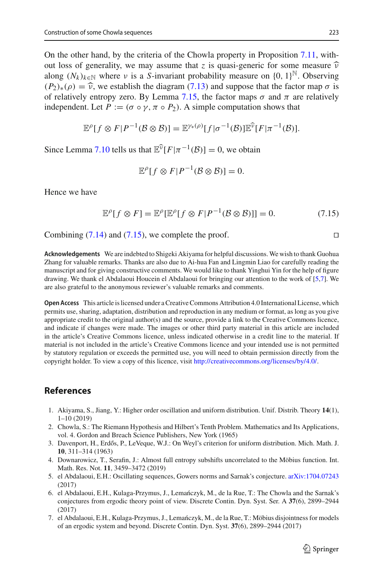On the other hand, by the criteria of the Chowla property in Proposition [7.11,](#page-27-0) without loss of generality, we may assume that *z* is quasi-generic for some measure  $\hat{v}$ along  $(N_k)_{k \in \mathbb{N}}$  where v is a *S*-invariant probability measure on  $\{0, 1\}^{\mathbb{N}}$ . Observing  $(P_2)_*(\rho) = \hat{\nu}$ , we establish the diagram [\(7.13\)](#page-29-1) and suppose that the factor map  $\sigma$  is of relatively entropy zero. By Lemma [7.15,](#page-29-2) the factor maps  $\sigma$  and  $\pi$  are relatively independent. Let  $P := (\sigma \circ \gamma, \pi \circ P_2)$ . A simple computation shows that

$$
\mathbb{E}^{\rho}[f\otimes F|P^{-1}(\mathcal{B}\otimes \mathcal{B})]=\mathbb{E}^{\gamma_*(\rho)}[f|\sigma^{-1}(\mathcal{B})]\mathbb{E}^{\widehat{\nu}}[F|\pi^{-1}(\mathcal{B})].
$$

Since Lemma [7.10](#page-27-3) tells us that  $\mathbb{E}^{\hat{v}}[F|\pi^{-1}(\mathcal{B})] = 0$ , we obtain

$$
\mathbb{E}^{\rho}[f \otimes F | P^{-1}(\mathcal{B} \otimes \mathcal{B})] = 0.
$$

Hence we have

<span id="page-30-6"></span>
$$
\mathbb{E}^{\rho}[f \otimes F] = \mathbb{E}^{\rho}[\mathbb{E}^{\rho}[f \otimes F | P^{-1}(\mathcal{B} \otimes \mathcal{B})]] = 0. \tag{7.15}
$$

Combining  $(7.14)$  and  $(7.15)$ , we complete the proof.

**Acknowledgements** We are indebted to Shigeki Akiyama for helpful discussions. We wish to thank Guohua Zhang for valuable remarks. Thanks are also due to Ai-hua Fan and Lingmin Liao for carefully reading the manuscript and for giving constructive comments. We would like to thank Yinghui Yin for the help of figure drawing. We thank el Abdalaoui Houcein el Abdalaoui for bringing our attention to the work of [\[5](#page-30-3)[,7\]](#page-30-7). We are also grateful to the anonymous reviewer's valuable remarks and comments.

**Open Access** This article is licensed under a Creative Commons Attribution 4.0 International License, which permits use, sharing, adaptation, distribution and reproduction in any medium or format, as long as you give appropriate credit to the original author(s) and the source, provide a link to the Creative Commons licence, and indicate if changes were made. The images or other third party material in this article are included in the article's Creative Commons licence, unless indicated otherwise in a credit line to the material. If material is not included in the article's Creative Commons licence and your intended use is not permitted by statutory regulation or exceeds the permitted use, you will need to obtain permission directly from the copyright holder. To view a copy of this licence, visit [http://creativecommons.org/licenses/by/4.0/.](http://creativecommons.org/licenses/by/4.0/)

# **References**

- <span id="page-30-2"></span>1. Akiyama, S., Jiang, Y.: Higher order oscillation and uniform distribution. Unif. Distrib. Theory **14**(1), 1–10 (2019)
- <span id="page-30-0"></span>2. Chowla, S.: The Riemann Hypothesis and Hilbert's Tenth Problem. Mathematics and Its Applications, vol. 4. Gordon and Breach Science Publishers, New York (1965)
- <span id="page-30-4"></span>3. Davenport, H., Erdős, P., LeVeque, W.J.: On Weyl's criterion for uniform distribution. Mich. Math. J. **10**, 311–314 (1963)
- <span id="page-30-5"></span>4. Downarowicz, T., Serafin, J.: Almost full entropy subshifts uncorrelated to the Möbius function. Int. Math. Res. Not. **11**, 3459–3472 (2019)
- <span id="page-30-3"></span>5. el Abdalaoui, E.H.: Oscillating sequences, Gowers norms and Sarnak's conjecture. [arXiv:1704.07243](http://arxiv.org/abs/1704.07243) (2017)
- <span id="page-30-1"></span>6. el Abdalaoui, E.H., Kulaga-Przymus, J., Lemańczyk, M., de la Rue, T.: The Chowla and the Sarnak's conjectures from ergodic theory point of view. Discrete Contin. Dyn. Syst. Ser. A **37**(6), 2899–2944 (2017)
- <span id="page-30-7"></span>7. el Abdalaoui, E.H., Kulaga-Przymus, J., Lemańczyk, M., de la Rue, T.: Möbius disjointness for models of an ergodic system and beyond. Discrete Contin. Dyn. Syst. **37**(6), 2899–2944 (2017)